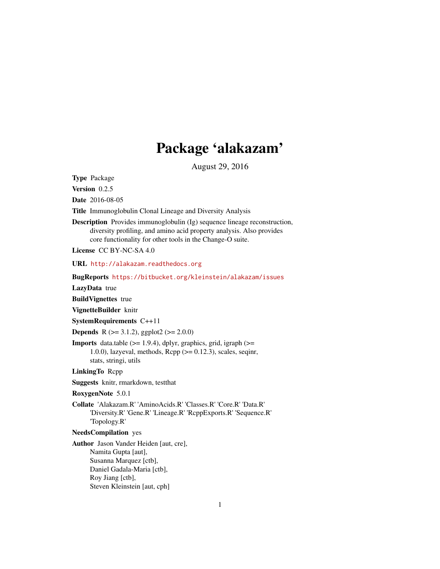# Package 'alakazam'

August 29, 2016

<span id="page-0-0"></span>Type Package

Version 0.2.5

Date 2016-08-05

Title Immunoglobulin Clonal Lineage and Diversity Analysis

Description Provides immunoglobulin (Ig) sequence lineage reconstruction, diversity profiling, and amino acid property analysis. Also provides core functionality for other tools in the Change-O suite.

License CC BY-NC-SA 4.0

URL <http://alakazam.readthedocs.org>

BugReports <https://bitbucket.org/kleinstein/alakazam/issues>

LazyData true

BuildVignettes true

VignetteBuilder knitr

SystemRequirements C++11

**Depends** R ( $>= 3.1.2$ ), ggplot2 ( $>= 2.0.0$ )

**Imports** data.table  $(>= 1.9.4)$ , dplyr, graphics, grid, igraph  $(>=$ 1.0.0), lazyeval, methods, Rcpp (>= 0.12.3), scales, seqinr, stats, stringi, utils

LinkingTo Rcpp

Suggests knitr, rmarkdown, testthat

RoxygenNote 5.0.1

Collate 'Alakazam.R' 'AminoAcids.R' 'Classes.R' 'Core.R' 'Data.R' 'Diversity.R' 'Gene.R' 'Lineage.R' 'RcppExports.R' 'Sequence.R' 'Topology.R'

#### NeedsCompilation yes

Author Jason Vander Heiden [aut, cre], Namita Gupta [aut], Susanna Marquez [ctb], Daniel Gadala-Maria [ctb], Roy Jiang [ctb], Steven Kleinstein [aut, cph]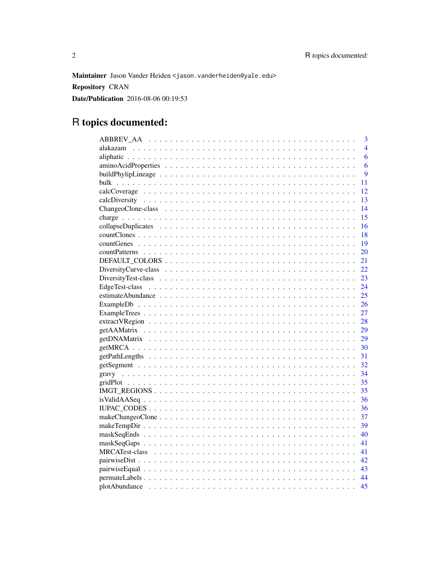Maintainer Jason Vander Heiden < jason. vanderheiden@yale.edu> **Repository CRAN** 

**Date/Publication** 2016-08-06 00:19:53

# R topics documented:

|  | 3              |
|--|----------------|
|  | $\overline{4}$ |
|  | 6              |
|  | 6              |
|  | 9              |
|  | 11             |
|  | 12             |
|  | 13             |
|  | 14             |
|  | 15             |
|  | 16             |
|  | 18             |
|  | 19             |
|  | 20             |
|  | 21             |
|  | 22             |
|  | 23             |
|  | 24             |
|  | 25             |
|  | 26             |
|  | 27             |
|  | 28             |
|  | 29             |
|  | 29             |
|  | 30             |
|  | 31             |
|  | 32             |
|  | 34             |
|  | 35             |
|  | 35             |
|  | 36             |
|  | 36             |
|  | 37             |
|  | 39             |
|  | 40             |
|  | 41             |
|  | 41             |
|  |                |
|  |                |
|  | 44             |
|  | 45             |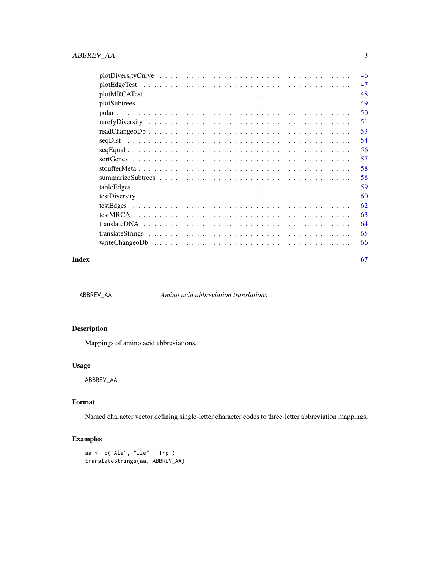<span id="page-2-0"></span>

|         | 47   |
|---------|------|
|         | 48   |
|         | 49   |
|         |      |
|         | -51  |
|         | -53  |
| segDist | -54  |
|         | -56  |
|         |      |
|         | - 58 |
|         |      |
|         |      |
|         | 60   |
|         | 62   |
|         | 63   |
|         | -64  |
|         | 65   |
|         |      |
|         |      |

#### **Index** [67](#page-66-0)

<span id="page-2-1"></span>

ABBREV\_AA *Amino acid abbreviation translations*

# Description

Mappings of amino acid abbreviations.

# Usage

ABBREV\_AA

# Format

Named character vector defining single-letter character codes to three-letter abbreviation mappings.

```
aa <- c("Ala", "Ile", "Trp")
translateStrings(aa, ABBREV_AA)
```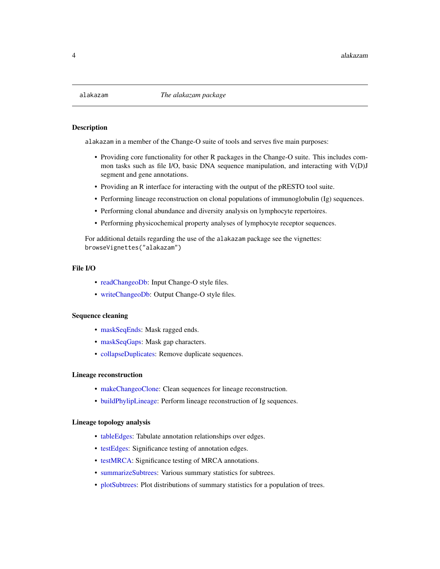<span id="page-3-0"></span>

alakazam in a member of the Change-O suite of tools and serves five main purposes:

- Providing core functionality for other R packages in the Change-O suite. This includes common tasks such as file I/O, basic DNA sequence manipulation, and interacting with V(D)J segment and gene annotations.
- Providing an R interface for interacting with the output of the pRESTO tool suite.
- Performing lineage reconstruction on clonal populations of immunoglobulin (Ig) sequences.
- Performing clonal abundance and diversity analysis on lymphocyte repertoires.
- Performing physicochemical property analyses of lymphocyte receptor sequences.

For additional details regarding the use of the alakazam package see the vignettes: browseVignettes("alakazam")

# File I/O

- [readChangeoDb:](#page-52-1) Input Change-O style files.
- [writeChangeoDb:](#page-65-1) Output Change-O style files.

# Sequence cleaning

- [maskSeqEnds:](#page-39-1) Mask ragged ends.
- [maskSeqGaps:](#page-40-1) Mask gap characters.
- [collapseDuplicates:](#page-15-1) Remove duplicate sequences.

#### Lineage reconstruction

- [makeChangeoClone:](#page-36-1) Clean sequences for lineage reconstruction.
- [buildPhylipLineage:](#page-8-1) Perform lineage reconstruction of Ig sequences.

# Lineage topology analysis

- [tableEdges:](#page-58-1) Tabulate annotation relationships over edges.
- [testEdges:](#page-61-1) Significance testing of annotation edges.
- [testMRCA:](#page-62-1) Significance testing of MRCA annotations.
- [summarizeSubtrees:](#page-57-1) Various summary statistics for subtrees.
- [plotSubtrees:](#page-48-1) Plot distributions of summary statistics for a population of trees.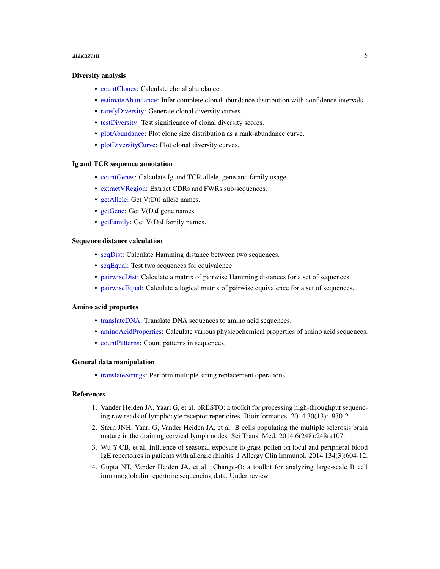#### <span id="page-4-0"></span>alakazam 5

#### Diversity analysis

- [countClones:](#page-17-1) Calculate clonal abundance.
- [estimateAbundance:](#page-24-1) Infer complete clonal abundance distribution with confidence intervals.
- [rarefyDiversity:](#page-50-1) Generate clonal diversity curves.
- [testDiversity:](#page-59-1) Test significance of clonal diversity scores.
- [plotAbundance:](#page-44-1) Plot clone size distribution as a rank-abundance curve.
- [plotDiversityCurve:](#page-45-1) Plot clonal diversity curves.

#### Ig and TCR sequence annotation

- [countGenes:](#page-18-1) Calculate Ig and TCR allele, gene and family usage.
- [extractVRegion:](#page-27-1) Extract CDRs and FWRs sub-sequences.
- [getAllele:](#page-31-1) Get V(D)J allele names.
- [getGene:](#page-31-1) Get V(D)J gene names.
- [getFamily:](#page-31-1) Get V(D)J family names.

#### Sequence distance calculation

- [seqDist:](#page-53-1) Calculate Hamming distance between two sequences.
- [seqEqual:](#page-55-1) Test two sequences for equivalence.
- [pairwiseDist:](#page-41-1) Calculate a matrix of pairwise Hamming distances for a set of sequences.
- [pairwiseEqual:](#page-42-1) Calculate a logical matrix of pairwise equivalence for a set of sequences.

#### Amino acid propertes

- [translateDNA:](#page-63-1) Translate DNA sequences to amino acid sequences.
- [aminoAcidProperties:](#page-5-1) Calculate various physicochemical properties of amino acid sequences.
- [countPatterns:](#page-19-1) Count patterns in sequences.

#### General data manipulation

• [translateStrings:](#page-64-1) Perform multiple string replacement operations.

#### References

- 1. Vander Heiden JA, Yaari G, et al. pRESTO: a toolkit for processing high-throughput sequencing raw reads of lymphocyte receptor repertoires. Bioinformatics. 2014 30(13):1930-2.
- 2. Stern JNH, Yaari G, Vander Heiden JA, et al. B cells populating the multiple sclerosis brain mature in the draining cervical lymph nodes. Sci Transl Med. 2014 6(248):248ra107.
- 3. Wu Y-CB, et al. Influence of seasonal exposure to grass pollen on local and peripheral blood IgE repertoires in patients with allergic rhinitis. J Allergy Clin Immunol. 2014 134(3):604-12.
- 4. Gupta NT, Vander Heiden JA, et al. Change-O: a toolkit for analyzing large-scale B cell immunoglobulin repertoire sequencing data. Under review.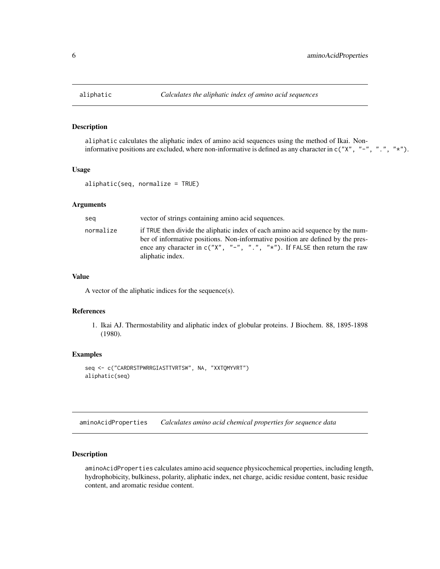<span id="page-5-2"></span><span id="page-5-0"></span>

aliphatic calculates the aliphatic index of amino acid sequences using the method of Ikai. Noninformative positions are excluded, where non-informative is defined as any character in c("X", "-", ".", "\*").

# Usage

```
aliphatic(seq, normalize = TRUE)
```
#### Arguments

| seg       | vector of strings containing amino acid sequences.                                                                                                                                                                                                                        |
|-----------|---------------------------------------------------------------------------------------------------------------------------------------------------------------------------------------------------------------------------------------------------------------------------|
| normalize | if TRUE then divide the aliphatic index of each amino acid sequence by the num-<br>ber of informative positions. Non-informative position are defined by the pres-<br>ence any character in $c("X", "-"", "."", "**")$ . If FALSE then return the raw<br>aliphatic index. |

# Value

A vector of the aliphatic indices for the sequence(s).

#### References

1. Ikai AJ. Thermostability and aliphatic index of globular proteins. J Biochem. 88, 1895-1898 (1980).

#### Examples

```
seq <- c("CARDRSTPWRRGIASTTVRTSW", NA, "XXTQMYVRT")
aliphatic(seq)
```
<span id="page-5-1"></span>aminoAcidProperties *Calculates amino acid chemical properties for sequence data*

# Description

aminoAcidProperties calculates amino acid sequence physicochemical properties, including length, hydrophobicity, bulkiness, polarity, aliphatic index, net charge, acidic residue content, basic residue content, and aromatic residue content.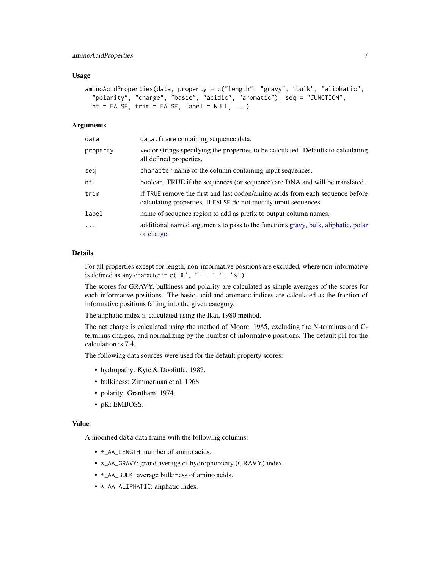#### <span id="page-6-0"></span>Usage

```
aminoAcidProperties(data, property = c("length", "gravy", "bulk", "aliphatic",
 "polarity", "charge", "basic", "acidic", "aromatic"), seq = "JUNCTION",
 nt = FALSE, trim = FALSE, label = NULL, ...)
```
# Arguments

| data     | data. frame containing sequence data.                                                                                                            |
|----------|--------------------------------------------------------------------------------------------------------------------------------------------------|
| property | vector strings specifying the properties to be calculated. Defaults to calculating<br>all defined properties.                                    |
| seq      | character name of the column containing input sequences.                                                                                         |
| nt       | boolean, TRUE if the sequences (or sequence) are DNA and will be translated.                                                                     |
| trim     | if TRUE remove the first and last codon/amino acids from each sequence before<br>calculating properties. If FALSE do not modify input sequences. |
| label    | name of sequence region to add as prefix to output column names.                                                                                 |
| .        | additional named arguments to pass to the functions gravy, bulk, aliphatic, polar<br>or charge.                                                  |

# Details

For all properties except for length, non-informative positions are excluded, where non-informative is defined as any character in  $c("X", "-"", "."," "*)$ .

The scores for GRAVY, bulkiness and polarity are calculated as simple averages of the scores for each informative positions. The basic, acid and aromatic indices are calculated as the fraction of informative positions falling into the given category.

The aliphatic index is calculated using the Ikai, 1980 method.

The net charge is calculated using the method of Moore, 1985, excluding the N-terminus and Cterminus charges, and normalizing by the number of informative positions. The default pH for the calculation is 7.4.

The following data sources were used for the default property scores:

- hydropathy: Kyte & Doolittle, 1982.
- bulkiness: Zimmerman et al, 1968.
- polarity: Grantham, 1974.
- pK: EMBOSS.

# Value

A modified data data.frame with the following columns:

- \*\_AA\_LENGTH: number of amino acids.
- \*\_AA\_GRAVY: grand average of hydrophobicity (GRAVY) index.
- \*\_AA\_BULK: average bulkiness of amino acids.
- \*\_AA\_ALIPHATIC: aliphatic index.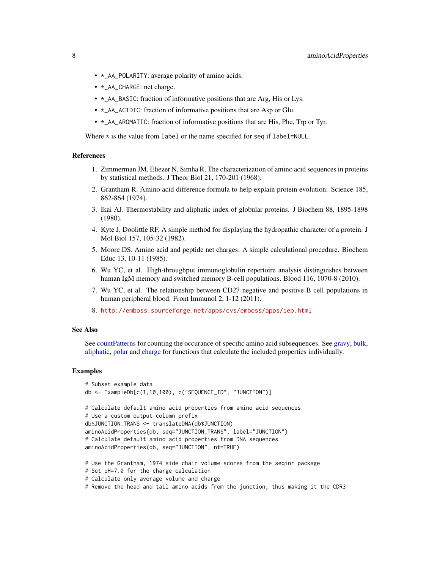- <span id="page-7-0"></span>• \*\_AA\_POLARITY: average polarity of amino acids.
- \*\_AA\_CHARGE: net charge.
- \*\_AA\_BASIC: fraction of informative positions that are Arg, His or Lys.
- \*\_AA\_ACIDIC: fraction of informative positions that are Asp or Glu.
- \*\_AA\_AROMATIC: fraction of informative positions that are His, Phe, Trp or Tyr.

Where  $\star$  is the value from label or the name specified for seq if label=NULL.

#### References

- 1. Zimmerman JM, Eliezer N, Simha R. The characterization of amino acid sequences in proteins by statistical methods. J Theor Biol 21, 170-201 (1968).
- 2. Grantham R. Amino acid difference formula to help explain protein evolution. Science 185, 862-864 (1974).
- 3. Ikai AJ. Thermostability and aliphatic index of globular proteins. J Biochem 88, 1895-1898 (1980).
- 4. Kyte J, Doolittle RF. A simple method for displaying the hydropathic character of a protein. J Mol Biol 157, 105-32 (1982).
- 5. Moore DS. Amino acid and peptide net charges: A simple calculational procedure. Biochem Educ 13, 10-11 (1985).
- 6. Wu YC, et al. High-throughput immunoglobulin repertoire analysis distinguishes between human IgM memory and switched memory B-cell populations. Blood 116, 1070-8 (2010).
- 7. Wu YC, et al. The relationship between CD27 negative and positive B cell populations in human peripheral blood. Front Immunol 2, 1-12 (2011).
- 8. <http://emboss.sourceforge.net/apps/cvs/emboss/apps/iep.html>

#### See Also

See [countPatterns](#page-19-1) for counting the occurance of specific amino acid subsequences. See [gravy,](#page-33-1) [bulk,](#page-10-1) [aliphatic,](#page-5-2) [polar](#page-49-1) and [charge](#page-14-1) for functions that calculate the included properties individually.

```
# Subset example data
db <- ExampleDb[c(1,10,100), c("SEQUENCE_ID", "JUNCTION")]
# Calculate default amino acid properties from amino acid sequences
# Use a custom output column prefix
db$JUNCTION_TRANS <- translateDNA(db$JUNCTION)
aminoAcidProperties(db, seq="JUNCTION_TRANS", label="JUNCTION")
# Calculate default amino acid properties from DNA sequences
aminoAcidProperties(db, seq="JUNCTION", nt=TRUE)
# Use the Grantham, 1974 side chain volume scores from the seqinr package
```
- # Set pH=7.0 for the charge calculation
- # Calculate only average volume and charge
- # Remove the head and tail amino acids from the junction, thus making it the CDR3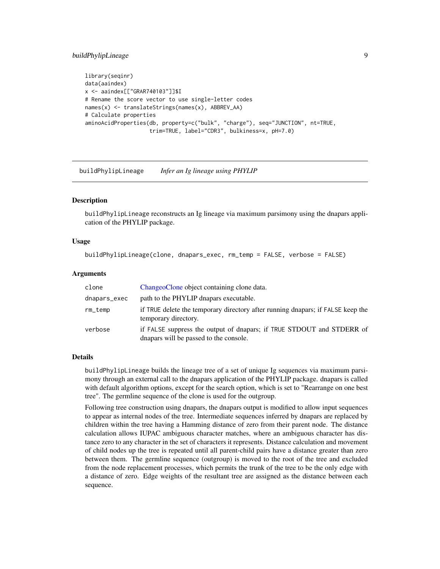# <span id="page-8-0"></span>buildPhylipLineage 9

```
library(seqinr)
data(aaindex)
x <- aaindex[["GRAR740103"]]$I
# Rename the score vector to use single-letter codes
names(x) <- translateStrings(names(x), ABBREV_AA)
# Calculate properties
aminoAcidProperties(db, property=c("bulk", "charge"), seq="JUNCTION", nt=TRUE,
                    trim=TRUE, label="CDR3", bulkiness=x, pH=7.0)
```
<span id="page-8-1"></span>buildPhylipLineage *Infer an Ig lineage using PHYLIP*

## **Description**

buildPhylipLineage reconstructs an Ig lineage via maximum parsimony using the dnapars application of the PHYLIP package.

# Usage

```
buildPhylipLineage(clone, dnapars_exec, rm_temp = FALSE, verbose = FALSE)
```
#### **Arguments**

| clone        | ChangeoClone object containing clone data.                                                                      |
|--------------|-----------------------------------------------------------------------------------------------------------------|
| dnapars_exec | path to the PHYLIP dnapars executable.                                                                          |
| $rm_t$       | if TRUE delete the temporary directory after running dnapars; if FALSE keep the<br>temporary directory.         |
| verbose      | if FALSE suppress the output of dnapars; if TRUE STDOUT and STDERR of<br>dnapars will be passed to the console. |

# Details

buildPhylipLineage builds the lineage tree of a set of unique Ig sequences via maximum parsimony through an external call to the dnapars application of the PHYLIP package. dnapars is called with default algorithm options, except for the search option, which is set to "Rearrange on one best tree". The germline sequence of the clone is used for the outgroup.

Following tree construction using dnapars, the dnapars output is modified to allow input sequences to appear as internal nodes of the tree. Intermediate sequences inferred by dnapars are replaced by children within the tree having a Hamming distance of zero from their parent node. The distance calculation allows IUPAC ambiguous character matches, where an ambiguous character has distance zero to any character in the set of characters it represents. Distance calculation and movement of child nodes up the tree is repeated until all parent-child pairs have a distance greater than zero between them. The germline sequence (outgroup) is moved to the root of the tree and excluded from the node replacement processes, which permits the trunk of the tree to be the only edge with a distance of zero. Edge weights of the resultant tree are assigned as the distance between each sequence.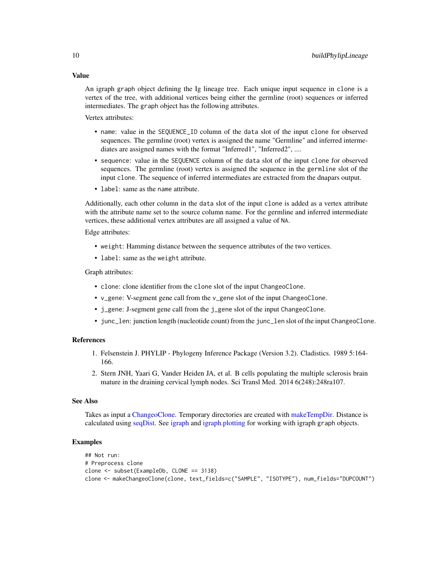An igraph graph object defining the Ig lineage tree. Each unique input sequence in clone is a vertex of the tree, with additional vertices being either the germline (root) sequences or inferred intermediates. The graph object has the following attributes.

Vertex attributes:

- name: value in the SEQUENCE\_ID column of the data slot of the input clone for observed sequences. The germline (root) vertex is assigned the name "Germline" and inferred intermediates are assigned names with the format "Inferred1", "Inferred2", ....
- sequence: value in the SEQUENCE column of the data slot of the input clone for observed sequences. The germline (root) vertex is assigned the sequence in the germline slot of the input clone. The sequence of inferred intermediates are extracted from the dnapars output.
- label: same as the name attribute.

Additionally, each other column in the data slot of the input clone is added as a vertex attribute with the attribute name set to the source column name. For the germline and inferred intermediate vertices, these additional vertex attributes are all assigned a value of NA.

Edge attributes:

- weight: Hamming distance between the sequence attributes of the two vertices.
- label: same as the weight attribute.

Graph attributes:

- clone: clone identifier from the clone slot of the input ChangeoClone.
- v\_gene: V-segment gene call from the v\_gene slot of the input ChangeoClone.
- j\_gene: J-segment gene call from the j\_gene slot of the input ChangeoClone.
- junc\_len: junction length (nucleotide count) from the junc\_len slot of the input ChangeoClone.

# References

- 1. Felsenstein J. PHYLIP Phylogeny Inference Package (Version 3.2). Cladistics. 1989 5:164- 166.
- 2. Stern JNH, Yaari G, Vander Heiden JA, et al. B cells populating the multiple sclerosis brain mature in the draining cervical lymph nodes. Sci Transl Med. 2014 6(248):248ra107.

#### See Also

Takes as input a [ChangeoClone.](#page-13-1) Temporary directories are created with [makeTempDir.](#page-38-1) Distance is calculated using [seqDist.](#page-53-1) See [igraph](#page-0-0) and [igraph.plotting](#page-0-0) for working with igraph graph objects.

#### Examples

```
## Not run:
# Preprocess clone
clone <- subset(ExampleDb, CLONE == 3138)
clone <- makeChangeoClone(clone, text_fields=c("SAMPLE", "ISOTYPE"), num_fields="DUPCOUNT")
```
<span id="page-9-0"></span>

# Value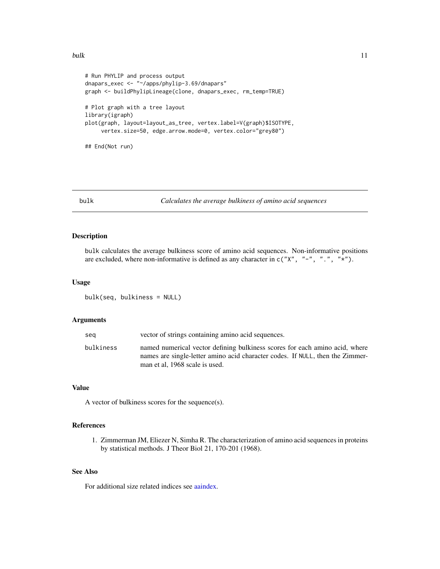```
# Run PHYLIP and process output
dnapars_exec <- "~/apps/phylip-3.69/dnapars"
graph <- buildPhylipLineage(clone, dnapars_exec, rm_temp=TRUE)
# Plot graph with a tree layout
library(igraph)
plot(graph, layout=layout_as_tree, vertex.label=V(graph)$ISOTYPE,
     vertex.size=50, edge.arrow.mode=0, vertex.color="grey80")
## End(Not run)
```
<span id="page-10-1"></span>

```
bulk Calculates the average bulkiness of amino acid sequences
```
bulk calculates the average bulkiness score of amino acid sequences. Non-informative positions are excluded, where non-informative is defined as any character in  $c("X", "-"", "."", "*").$ 

#### Usage

bulk(seq, bulkiness = NULL)

# Arguments

| sea       | vector of strings containing amino acid sequences.                                                                                                                                             |
|-----------|------------------------------------------------------------------------------------------------------------------------------------------------------------------------------------------------|
| bulkiness | named numerical vector defining bulkiness scores for each amino acid, where<br>names are single-letter amino acid character codes. If NULL, then the Zimmer-<br>man et al, 1968 scale is used. |
|           |                                                                                                                                                                                                |

# Value

A vector of bulkiness scores for the sequence(s).

# References

1. Zimmerman JM, Eliezer N, Simha R. The characterization of amino acid sequences in proteins by statistical methods. J Theor Biol 21, 170-201 (1968).

# See Also

For additional size related indices see [aaindex.](#page-0-0)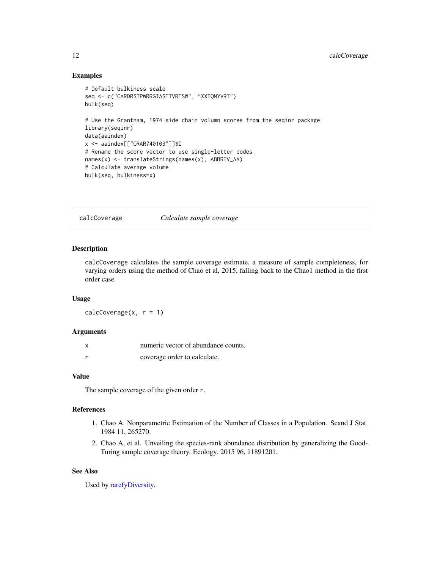# <span id="page-11-0"></span>Examples

```
# Default bulkiness scale
seq <- c("CARDRSTPWRRGIASTTVRTSW", "XXTQMYVRT")
bulk(seq)
# Use the Grantham, 1974 side chain volumn scores from the seqinr package
library(seqinr)
data(aaindex)
x <- aaindex[["GRAR740103"]]$I
# Rename the score vector to use single-letter codes
names(x) <- translateStrings(names(x), ABBREV_AA)
# Calculate average volume
bulk(seq, bulkiness=x)
```
calcCoverage *Calculate sample coverage*

# Description

calcCoverage calculates the sample coverage estimate, a measure of sample completeness, for varying orders using the method of Chao et al, 2015, falling back to the Chao1 method in the first order case.

#### Usage

 $calcCoverage(x, r = 1)$ 

# Arguments

| x | numeric vector of abundance counts. |
|---|-------------------------------------|
|   | coverage order to calculate.        |

# Value

The sample coverage of the given order r.

#### References

- 1. Chao A. Nonparametric Estimation of the Number of Classes in a Population. Scand J Stat. 1984 11, 265270.
- 2. Chao A, et al. Unveiling the species-rank abundance distribution by generalizing the Good-Turing sample coverage theory. Ecology. 2015 96, 11891201.

# See Also

Used by [rarefyDiversity.](#page-50-1)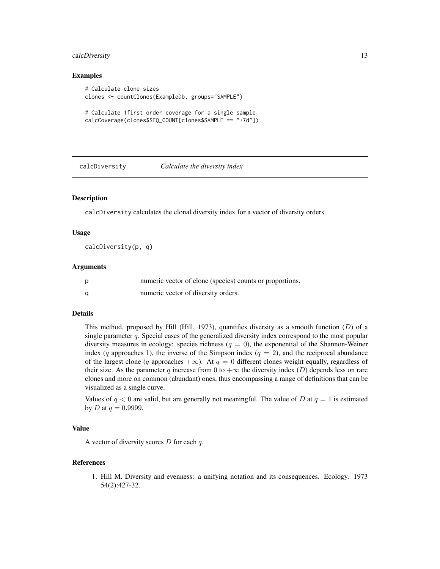# <span id="page-12-0"></span>calcDiversity 13

#### Examples

```
# Calculate clone sizes
clones <- countClones(ExampleDb, groups="SAMPLE")
# Calculate 1first order coverage for a single sample
```

```
calcCoverage(clones$SEQ_COUNT[clones$SAMPLE == "+7d"])
```
<span id="page-12-1"></span>

#### calcDiversity *Calculate the diversity index*

#### Description

calcDiversity calculates the clonal diversity index for a vector of diversity orders.

#### Usage

calcDiversity(p, q)

#### Arguments

| numeric vector of clone (species) counts or proportions. |
|----------------------------------------------------------|
| numeric vector of diversity orders.                      |

#### Details

This method, proposed by Hill (Hill, 1973), quantifies diversity as a smooth function  $(D)$  of a single parameter  $q$ . Special cases of the generalized diversity index correspond to the most popular diversity measures in ecology: species richness ( $q = 0$ ), the exponential of the Shannon-Weiner index (q approaches 1), the inverse of the Simpson index ( $q = 2$ ), and the reciprocal abundance of the largest clone (q approaches  $+\infty$ ). At  $q = 0$  different clones weight equally, regardless of their size. As the parameter q increase from 0 to  $+\infty$  the diversity index (D) depends less on rare clones and more on common (abundant) ones, thus encompassing a range of definitions that can be visualized as a single curve.

Values of  $q < 0$  are valid, but are generally not meaningful. The value of D at  $q = 1$  is estimated by *D* at  $q = 0.9999$ .

# Value

A vector of diversity scores  $D$  for each  $q$ .

# References

1. Hill M. Diversity and evenness: a unifying notation and its consequences. Ecology. 1973 54(2):427-32.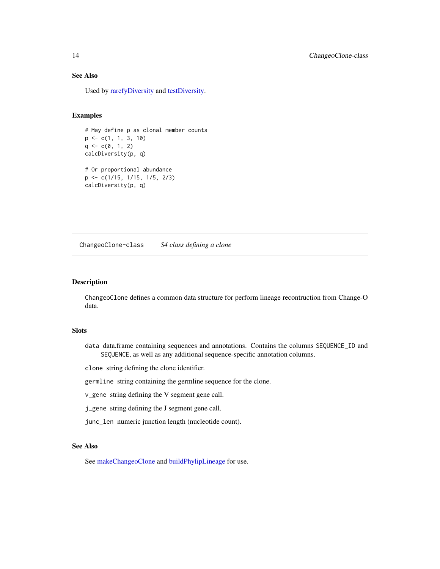# See Also

Used by [rarefyDiversity](#page-50-1) and [testDiversity.](#page-59-1)

# Examples

```
# May define p as clonal member counts
p <- c(1, 1, 3, 10)
q \leftarrow c(\emptyset, 1, 2)calcDiversity(p, q)
# Or proportional abundance
p <- c(1/15, 1/15, 1/5, 2/3)
calcDiversity(p, q)
```
ChangeoClone-class *S4 class defining a clone*

#### <span id="page-13-1"></span>Description

ChangeoClone defines a common data structure for perform lineage recontruction from Change-O data.

# **Slots**

data data.frame containing sequences and annotations. Contains the columns SEQUENCE\_ID and SEQUENCE, as well as any additional sequence-specific annotation columns.

clone string defining the clone identifier.

germline string containing the germline sequence for the clone.

v\_gene string defining the V segment gene call.

j\_gene string defining the J segment gene call.

junc\_len numeric junction length (nucleotide count).

# See Also

See [makeChangeoClone](#page-36-1) and [buildPhylipLineage](#page-8-1) for use.

<span id="page-13-0"></span>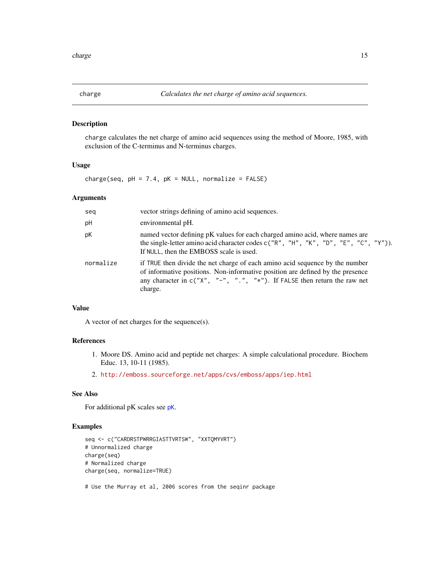<span id="page-14-1"></span><span id="page-14-0"></span>

charge calculates the net charge of amino acid sequences using the method of Moore, 1985, with exclusion of the C-terminus and N-terminus charges.

# Usage

charge(seq,  $pH = 7.4$ ,  $pK = NULL$ , normalize = FALSE)

# Arguments

| seq       | vector strings defining of amino acid sequences.                                                                                                                                                                                                           |
|-----------|------------------------------------------------------------------------------------------------------------------------------------------------------------------------------------------------------------------------------------------------------------|
| рH        | environmental pH.                                                                                                                                                                                                                                          |
| рK        | named vector defining pK values for each charged amino acid, where names are<br>the single-letter amino acid character codes c("R", "H", "K", "D", "E", "C", "Y")).<br>If NULL, then the EMBOSS scale is used.                                             |
| normalize | if TRUE then divide the net charge of each amino acid sequence by the number<br>of informative positions. Non-informative position are defined by the presence<br>any character in $c("X", "-"", "."", "*")$ . If FALSE then return the raw net<br>charge. |

# Value

A vector of net charges for the sequence(s).

# References

- 1. Moore DS. Amino acid and peptide net charges: A simple calculational procedure. Biochem Educ. 13, 10-11 (1985).
- 2. <http://emboss.sourceforge.net/apps/cvs/emboss/apps/iep.html>

# See Also

For additional pK scales see [pK](#page-0-0).

```
seq <- c("CARDRSTPWRRGIASTTVRTSW", "XXTQMYVRT")
# Unnormalized charge
charge(seq)
# Normalized charge
charge(seq, normalize=TRUE)
# Use the Murray et al, 2006 scores from the seqinr package
```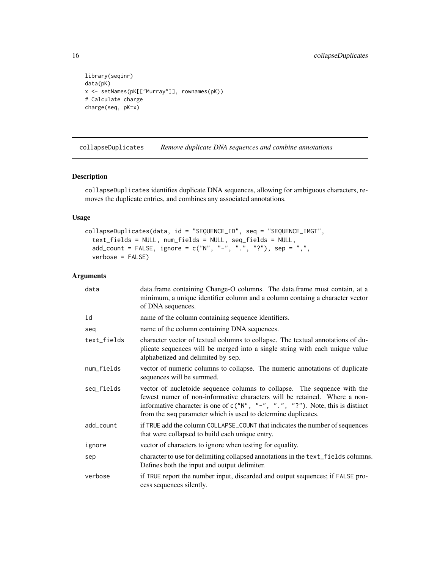```
library(seqinr)
data(pK)
x <- setNames(pK[["Murray"]], rownames(pK))
# Calculate charge
charge(seq, pK=x)
```
<span id="page-15-1"></span>collapseDuplicates *Remove duplicate DNA sequences and combine annotations*

# Description

collapseDuplicates identifies duplicate DNA sequences, allowing for ambiguous characters, removes the duplicate entries, and combines any associated annotations.

# Usage

```
collapseDuplicates(data, id = "SEQUENCE_ID", seq = "SEQUENCE_IMGT",
  text_fields = NULL, num_fields = NULL, seq_fields = NULL,
  add\_count = FALSE, ignore = c("N", "-"", "."," "?"), sep = ",",verbose = FALSE)
```
#### Arguments

| data        | data.frame containing Change-O columns. The data.frame must contain, at a<br>minimum, a unique identifier column and a column containg a character vector<br>of DNA sequences.                                                                                                                               |
|-------------|--------------------------------------------------------------------------------------------------------------------------------------------------------------------------------------------------------------------------------------------------------------------------------------------------------------|
| id          | name of the column containing sequence identifiers.                                                                                                                                                                                                                                                          |
| seq         | name of the column containing DNA sequences.                                                                                                                                                                                                                                                                 |
| text_fields | character vector of textual columns to collapse. The textual annotations of du-<br>plicate sequences will be merged into a single string with each unique value<br>alphabetized and delimited by sep.                                                                                                        |
| num_fields  | vector of numeric columns to collapse. The numeric annotations of duplicate<br>sequences will be summed.                                                                                                                                                                                                     |
| seq_fields  | vector of nucletoide sequence columns to collapse. The sequence with the<br>fewest numer of non-informative characters will be retained. Where a non-<br>informative character is one of $c("N", "-"", "."", "?"$ ). Note, this is distinct<br>from the seq parameter which is used to determine duplicates. |
| add_count   | if TRUE add the column COLLAPSE_COUNT that indicates the number of sequences<br>that were collapsed to build each unique entry.                                                                                                                                                                              |
| ignore      | vector of characters to ignore when testing for equality.                                                                                                                                                                                                                                                    |
| sep         | character to use for delimiting collapsed annotations in the text_fields columns.<br>Defines both the input and output delimiter.                                                                                                                                                                            |
| verbose     | if TRUE report the number input, discarded and output sequences; if FALSE pro-<br>cess sequences silently.                                                                                                                                                                                                   |

<span id="page-15-0"></span>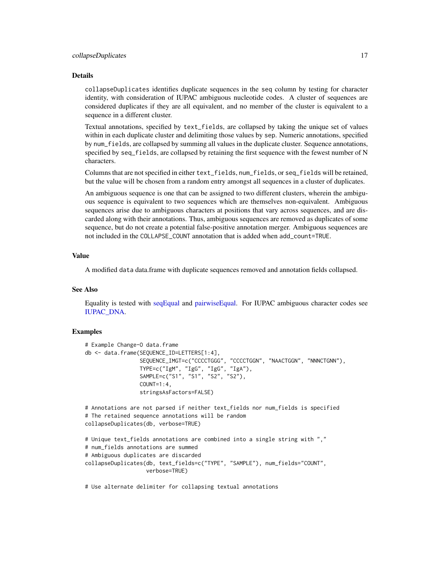#### <span id="page-16-0"></span>collapseDuplicates 17

#### Details

collapseDuplicates identifies duplicate sequences in the seq column by testing for character identity, with consideration of IUPAC ambiguous nucleotide codes. A cluster of sequences are considered duplicates if they are all equivalent, and no member of the cluster is equivalent to a sequence in a different cluster.

Textual annotations, specified by text\_fields, are collapsed by taking the unique set of values within in each duplicate cluster and delimiting those values by sep. Numeric annotations, specified by num\_fields, are collapsed by summing all values in the duplicate cluster. Sequence annotations, specified by seq\_fields, are collapsed by retaining the first sequence with the fewest number of N characters.

Columns that are not specified in either text\_fields, num\_fields, or seq\_fields will be retained, but the value will be chosen from a random entry amongst all sequences in a cluster of duplicates.

An ambiguous sequence is one that can be assigned to two different clusters, wherein the ambiguous sequence is equivalent to two sequences which are themselves non-equivalent. Ambiguous sequences arise due to ambiguous characters at positions that vary across sequences, and are discarded along with their annotations. Thus, ambiguous sequences are removed as duplicates of some sequence, but do not create a potential false-positive annotation merger. Ambiguous sequences are not included in the COLLAPSE\_COUNT annotation that is added when add\_count=TRUE.

#### Value

A modified data data.frame with duplicate sequences removed and annotation fields collapsed.

#### See Also

Equality is tested with [seqEqual](#page-55-1) and [pairwiseEqual.](#page-42-1) For IUPAC ambiguous character codes see [IUPAC\\_DNA.](#page-35-1)

#### Examples

```
# Example Change-O data.frame
db <- data.frame(SEQUENCE_ID=LETTERS[1:4],
                 SEQUENCE_IMGT=c("CCCCTGGG", "CCCCTGGN", "NAACTGGN", "NNNCTGNN"),
                 TYPE=c("IgM", "IgG", "IgG", "IgA"),
                 SAMPLE=c("S1", "S1", "S2", "S2"),
                 COUNT=1:4,
                 stringsAsFactors=FALSE)
# Annotations are not parsed if neither text_fields nor num_fields is specified
# The retained sequence annotations will be random
collapseDuplicates(db, verbose=TRUE)
# Unique text_fields annotations are combined into a single string with ","
# num_fields annotations are summed
# Ambiguous duplicates are discarded
collapseDuplicates(db, text_fields=c("TYPE", "SAMPLE"), num_fields="COUNT",
                   verbose=TRUE)
```
# Use alternate delimiter for collapsing textual annotations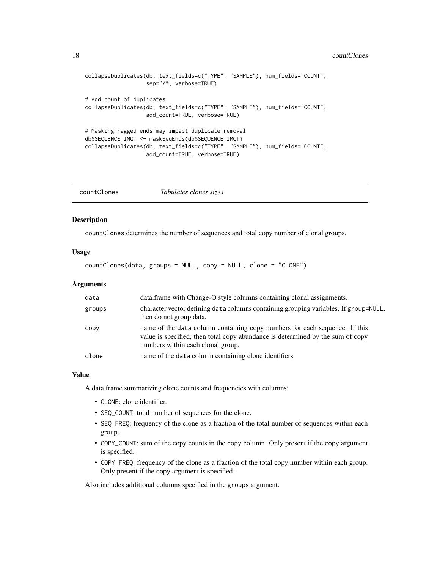#### <span id="page-17-0"></span>18 countClones

```
collapseDuplicates(db, text_fields=c("TYPE", "SAMPLE"), num_fields="COUNT",
                  sep="/", verbose=TRUE)
# Add count of duplicates
collapseDuplicates(db, text_fields=c("TYPE", "SAMPLE"), num_fields="COUNT",
                  add_count=TRUE, verbose=TRUE)
# Masking ragged ends may impact duplicate removal
db$SEQUENCE_IMGT <- maskSeqEnds(db$SEQUENCE_IMGT)
collapseDuplicates(db, text_fields=c("TYPE", "SAMPLE"), num_fields="COUNT",
                   add_count=TRUE, verbose=TRUE)
```
<span id="page-17-1"></span>

|--|--|--|--|

#### Description

countClones determines the number of sequences and total copy number of clonal groups.

# Usage

```
countClones(data, groups = NULL, copy = NULL, clone = "CLONE")
```
### Arguments

| data   | data.frame with Change-O style columns containing clonal assignments.                                                                                                                             |
|--------|---------------------------------------------------------------------------------------------------------------------------------------------------------------------------------------------------|
| groups | character vector defining data columns containing grouping variables. If group=NULL,<br>then do not group data.                                                                                   |
| copy   | name of the data column containing copy numbers for each sequence. If this<br>value is specified, then total copy abundance is determined by the sum of copy<br>numbers within each clonal group. |
| clone  | name of the data column containing clone identifiers.                                                                                                                                             |

# Value

A data.frame summarizing clone counts and frequencies with columns:

- CLONE: clone identifier.
- SEQ\_COUNT: total number of sequences for the clone.
- SEQ\_FREQ: frequency of the clone as a fraction of the total number of sequences within each group.
- COPY\_COUNT: sum of the copy counts in the copy column. Only present if the copy argument is specified.
- COPY\_FREQ: frequency of the clone as a fraction of the total copy number within each group. Only present if the copy argument is specified.

Also includes additional columns specified in the groups argument.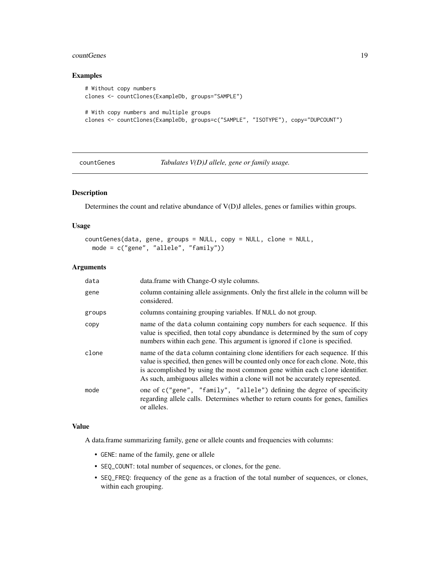#### <span id="page-18-0"></span>countGenes and the countGenes of the countGenes of the countGenes of the countGenes of the countGenes of the countGenes of the countGenes of the countGenes of the countGenes of the countGenes of the countGenes of the count

# Examples

```
# Without copy numbers
clones <- countClones(ExampleDb, groups="SAMPLE")
# With copy numbers and multiple groups
clones <- countClones(ExampleDb, groups=c("SAMPLE", "ISOTYPE"), copy="DUPCOUNT")
```
#### countGenes *Tabulates V(D)J allele, gene or family usage.*

# Description

Determines the count and relative abundance of V(D)J alleles, genes or families within groups.

#### Usage

```
countGenes(data, gene, groups = NULL, copy = NULL, clone = NULL,
 mode = c("gene", "allele", "family"))
```
#### **Arguments**

| data   | data.frame with Change-O style columns.                                                                                                                                                                                                                                                                                                |
|--------|----------------------------------------------------------------------------------------------------------------------------------------------------------------------------------------------------------------------------------------------------------------------------------------------------------------------------------------|
| gene   | column containing allele assignments. Only the first allele in the column will be<br>considered.                                                                                                                                                                                                                                       |
| groups | columns containing grouping variables. If NULL do not group.                                                                                                                                                                                                                                                                           |
| copy   | name of the data column containing copy numbers for each sequence. If this<br>value is specified, then total copy abundance is determined by the sum of copy<br>numbers within each gene. This argument is ignored if clone is specified.                                                                                              |
| clone  | name of the data column containing clone identifiers for each sequence. If this<br>value is specified, then genes will be counted only once for each clone. Note, this<br>is accomplished by using the most common gene within each clone identifier.<br>As such, ambiguous alleles within a clone will not be accurately represented. |
| mode   | one of c("gene", "family", "allele") defining the degree of specificity<br>regarding allele calls. Determines whether to return counts for genes, families<br>or alleles.                                                                                                                                                              |

#### Value

A data.frame summarizing family, gene or allele counts and frequencies with columns:

- GENE: name of the family, gene or allele
- SEQ\_COUNT: total number of sequences, or clones, for the gene.
- SEQ\_FREQ: frequency of the gene as a fraction of the total number of sequences, or clones, within each grouping.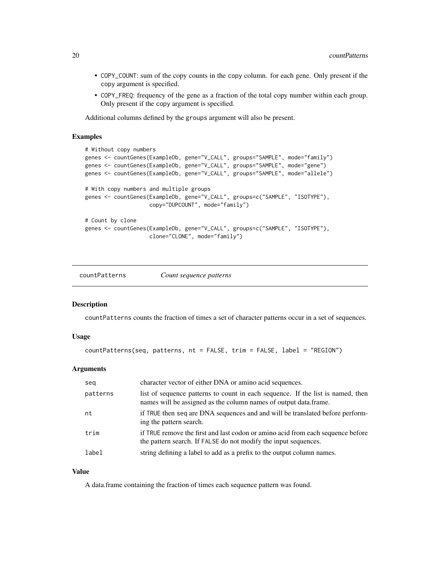- <span id="page-19-0"></span>• COPY\_COUNT: sum of the copy counts in the copy column. for each gene. Only present if the copy argument is specified.
- COPY\_FREQ: frequency of the gene as a fraction of the total copy number within each group. Only present if the copy argument is specified.

Additional columns defined by the groups argument will also be present.

#### Examples

```
# Without copy numbers
genes <- countGenes(ExampleDb, gene="V_CALL", groups="SAMPLE", mode="family")
genes <- countGenes(ExampleDb, gene="V_CALL", groups="SAMPLE", mode="gene")
genes <- countGenes(ExampleDb, gene="V_CALL", groups="SAMPLE", mode="allele")
# With copy numbers and multiple groups
genes <- countGenes(ExampleDb, gene="V_CALL", groups=c("SAMPLE", "ISOTYPE"),
                    copy="DUPCOUNT", mode="family")
# Count by clone
genes <- countGenes(ExampleDb, gene="V_CALL", groups=c("SAMPLE", "ISOTYPE"),
                    clone="CLONE", mode="family")
```
<span id="page-19-1"></span>countPatterns *Count sequence patterns*

# Description

countPatterns counts the fraction of times a set of character patterns occur in a set of sequences.

#### Usage

```
countPatterns(seq, patterns, nt = FALSE, trim = FALSE, label = "REGION")
```
#### Arguments

| seg      | character vector of either DNA or amino acid sequences.                                                                                             |
|----------|-----------------------------------------------------------------------------------------------------------------------------------------------------|
| patterns | list of sequence patterns to count in each sequence. If the list is named, then<br>names will be assigned as the column names of output data.frame. |
| nt       | if TRUE then seq are DNA sequences and and will be translated before perform-<br>ing the pattern search.                                            |
| trim     | if TRUE remove the first and last codon or amino acid from each sequence before<br>the pattern search. If FALSE do not modify the input sequences.  |
| label    | string defining a label to add as a prefix to the output column names.                                                                              |

# Value

A data.frame containing the fraction of times each sequence pattern was found.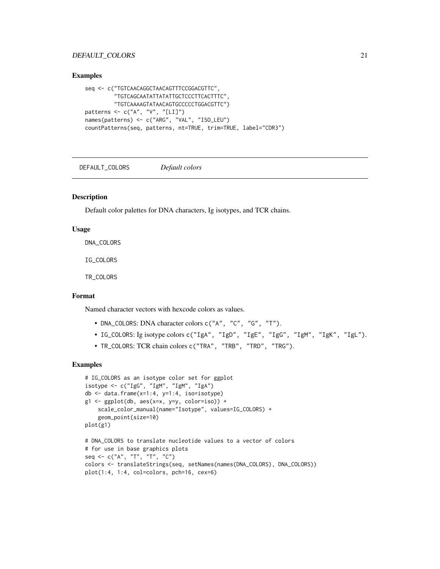# <span id="page-20-0"></span>DEFAULT\_COLORS 21

#### Examples

```
seq <- c("TGTCAACAGGCTAACAGTTTCCGGACGTTC",
         "TGTCAGCAATATTATATTGCTCCCTTCACTTTC",
         "TGTCAAAAGTATAACAGTGCCCCCTGGACGTTC")
patterns <- c("A", "V", "[LI]")
names(patterns) <- c("ARG", "VAL", "ISO_LEU")
countPatterns(seq, patterns, nt=TRUE, trim=TRUE, label="CDR3")
```
DEFAULT\_COLORS *Default colors*

#### Description

Default color palettes for DNA characters, Ig isotypes, and TCR chains.

#### Usage

DNA\_COLORS

IG\_COLORS

TR\_COLORS

# Format

Named character vectors with hexcode colors as values.

- DNA\_COLORS: DNA character colors c("A", "C", "G", "T").
- IG\_COLORS: Ig isotype colors c("IgA", "IgD", "IgE", "IgG", "IgM", "IgK", "IgL").
- TR\_COLORS: TCR chain colors c("TRA", "TRB", "TRD", "TRG").

```
# IG_COLORS as an isotype color set for ggplot
isotype <- c("IgG", "IgM", "IgM", "IgA")
db <- data.frame(x=1:4, y=1:4, iso=isotype)
g1 \leftarrow ggplot(db, aes(x=x, y=y, color=iso)) +scale_color_manual(name="Isotype", values=IG_COLORS) +
    geom_point(size=10)
plot(g1)
# DNA_COLORS to translate nucleotide values to a vector of colors
# for use in base graphics plots
seq <- c("A", "T", "T", "C")
colors <- translateStrings(seq, setNames(names(DNA_COLORS), DNA_COLORS))
plot(1:4, 1:4, col=colors, pch=16, cex=6)
```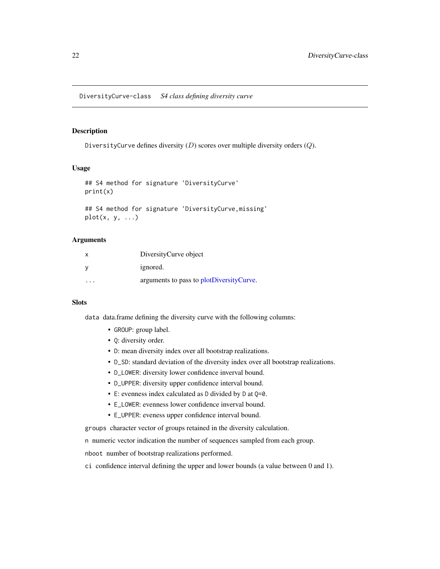<span id="page-21-1"></span><span id="page-21-0"></span>DiversityCurve defines diversity  $(D)$  scores over multiple diversity orders  $(Q)$ .

#### Usage

```
## S4 method for signature 'DiversityCurve'
print(x)
## S4 method for signature 'DiversityCurve,missing'
```
 $plot(x, y, ...)$ 

#### **Arguments**

|         | DiversityCurve object                    |
|---------|------------------------------------------|
|         | ignored.                                 |
| $\cdot$ | arguments to pass to plotDiversityCurve. |

# Slots

data data.frame defining the diversity curve with the following columns:

- GROUP: group label.
- Q: diversity order.
- D: mean diversity index over all bootstrap realizations.
- D\_SD: standard deviation of the diversity index over all bootstrap realizations.
- D\_LOWER: diversity lower confidence inverval bound.
- D\_UPPER: diversity upper confidence interval bound.
- E: evenness index calculated as D divided by D at Q=0.
- E\_LOWER: evenness lower confidence inverval bound.
- E\_UPPER: eveness upper confidence interval bound.

groups character vector of groups retained in the diversity calculation.

n numeric vector indication the number of sequences sampled from each group.

nboot number of bootstrap realizations performed.

ci confidence interval defining the upper and lower bounds (a value between 0 and 1).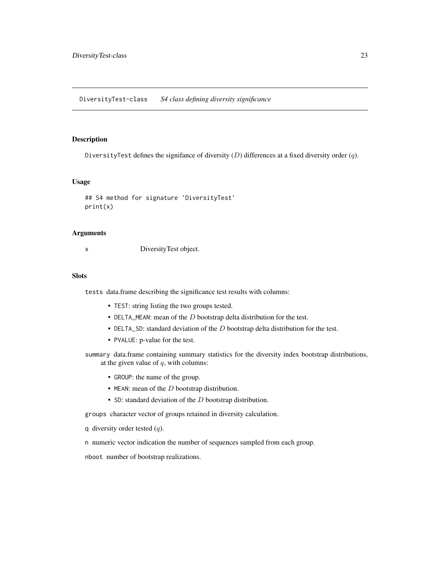<span id="page-22-1"></span><span id="page-22-0"></span>DiversityTest defines the signifance of diversity  $(D)$  differences at a fixed diversity order  $(q)$ .

#### Usage

```
## S4 method for signature 'DiversityTest'
print(x)
```
#### Arguments

x DiversityTest object.

#### **Slots**

tests data.frame describing the significance test results with columns:

- TEST: string listing the two groups tested.
- DELTA\_MEAN: mean of the  $D$  bootstrap delta distribution for the test.
- DELTA\_SD: standard deviation of the  $D$  bootstrap delta distribution for the test.
- PVALUE: p-value for the test.
- summary data.frame containing summary statistics for the diversity index bootstrap distributions, at the given value of  $q$ , with columns:
	- GROUP: the name of the group.
	- MEAN: mean of the  $D$  bootstrap distribution.
	- SD: standard deviation of the D bootstrap distribution.

groups character vector of groups retained in diversity calculation.

- q diversity order tested  $(q)$ .
- n numeric vector indication the number of sequences sampled from each group.

nboot number of bootstrap realizations.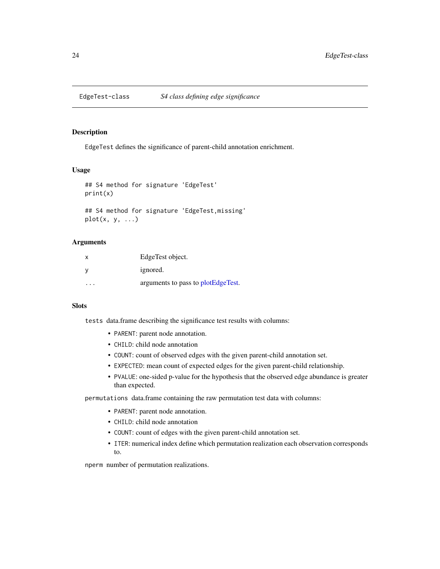<span id="page-23-1"></span><span id="page-23-0"></span>

EdgeTest defines the significance of parent-child annotation enrichment.

#### Usage

```
## S4 method for signature 'EdgeTest'
print(x)
```

```
## S4 method for signature 'EdgeTest,missing'
plot(x, y, ...)
```
#### Arguments

| х | EdgeTest object.                   |
|---|------------------------------------|
|   | ignored.                           |
|   | arguments to pass to plotEdgeTest. |

#### **Slots**

tests data.frame describing the significance test results with columns:

- PARENT: parent node annotation.
- CHILD: child node annotation
- COUNT: count of observed edges with the given parent-child annotation set.
- EXPECTED: mean count of expected edges for the given parent-child relationship.
- PVALUE: one-sided p-value for the hypothesis that the observed edge abundance is greater than expected.

permutations data.frame containing the raw permutation test data with columns:

- PARENT: parent node annotation.
- CHILD: child node annotation
- COUNT: count of edges with the given parent-child annotation set.
- ITER: numerical index define which permutation realization each observation corresponds to.

nperm number of permutation realizations.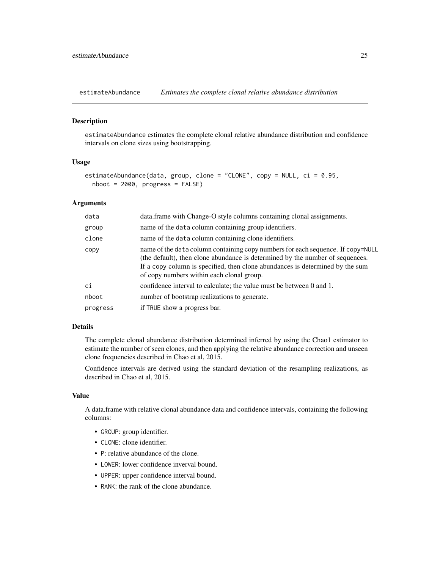<span id="page-24-1"></span><span id="page-24-0"></span>

estimateAbundance estimates the complete clonal relative abundance distribution and confidence intervals on clone sizes using bootstrapping.

# Usage

```
estimateAbundance(data, group, clone = "CLONE", copy = NULL, ci = 0.95,
 nboot = 2000, progress = FALSE)
```
#### Arguments

| data     | data.frame with Change-O style columns containing clonal assignments.                                                                                                                                                                                                                          |
|----------|------------------------------------------------------------------------------------------------------------------------------------------------------------------------------------------------------------------------------------------------------------------------------------------------|
| group    | name of the data column containing group identifiers.                                                                                                                                                                                                                                          |
| clone    | name of the data column containing clone identifiers.                                                                                                                                                                                                                                          |
| CODV     | name of the data column containing copy numbers for each sequence. If copy=NULL<br>(the default), then clone abundance is determined by the number of sequences.<br>If a copy column is specified, then clone abundances is determined by the sum<br>of copy numbers within each clonal group. |
| сi       | confidence interval to calculate; the value must be between 0 and 1.                                                                                                                                                                                                                           |
| nboot    | number of bootstrap realizations to generate.                                                                                                                                                                                                                                                  |
| progress | if TRUE show a progress bar.                                                                                                                                                                                                                                                                   |

#### Details

The complete clonal abundance distribution determined inferred by using the Chao1 estimator to estimate the number of seen clones, and then applying the relative abundance correction and unseen clone frequencies described in Chao et al, 2015.

Confidence intervals are derived using the standard deviation of the resampling realizations, as described in Chao et al, 2015.

# Value

A data.frame with relative clonal abundance data and confidence intervals, containing the following columns:

- GROUP: group identifier.
- CLONE: clone identifier.
- P: relative abundance of the clone.
- LOWER: lower confidence inverval bound.
- UPPER: upper confidence interval bound.
- RANK: the rank of the clone abundance.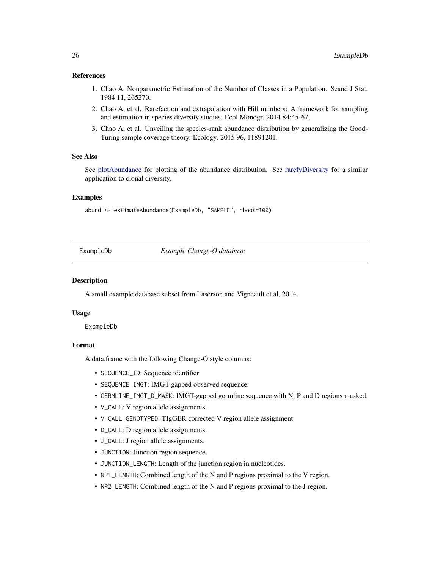#### <span id="page-25-0"></span>References

- 1. Chao A. Nonparametric Estimation of the Number of Classes in a Population. Scand J Stat. 1984 11, 265270.
- 2. Chao A, et al. Rarefaction and extrapolation with Hill numbers: A framework for sampling and estimation in species diversity studies. Ecol Monogr. 2014 84:45-67.
- 3. Chao A, et al. Unveiling the species-rank abundance distribution by generalizing the Good-Turing sample coverage theory. Ecology. 2015 96, 11891201.

# See Also

See [plotAbundance](#page-44-1) for plotting of the abundance distribution. See [rarefyDiversity](#page-50-1) for a similar application to clonal diversity.

#### Examples

abund <- estimateAbundance(ExampleDb, "SAMPLE", nboot=100)

ExampleDb *Example Change-O database*

#### Description

A small example database subset from Laserson and Vigneault et al, 2014.

#### Usage

ExampleDb

#### Format

A data.frame with the following Change-O style columns:

- SEQUENCE\_ID: Sequence identifier
- SEQUENCE\_IMGT: IMGT-gapped observed sequence.
- GERMLINE\_IMGT\_D\_MASK: IMGT-gapped germline sequence with N, P and D regions masked.
- V\_CALL: V region allele assignments.
- V\_CALL\_GENOTYPED: TIgGER corrected V region allele assignment.
- D\_CALL: D region allele assignments.
- J\_CALL: J region allele assignments.
- JUNCTION: Junction region sequence.
- JUNCTION\_LENGTH: Length of the junction region in nucleotides.
- NP1\_LENGTH: Combined length of the N and P regions proximal to the V region.
- NP2\_LENGTH: Combined length of the N and P regions proximal to the J region.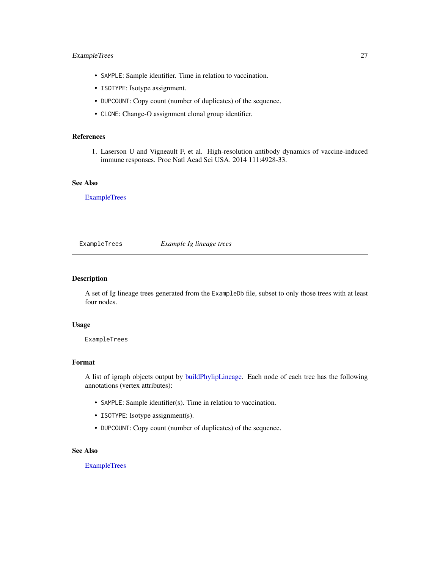# <span id="page-26-0"></span>ExampleTrees 27

- SAMPLE: Sample identifier. Time in relation to vaccination.
- ISOTYPE: Isotype assignment.
- DUPCOUNT: Copy count (number of duplicates) of the sequence.
- CLONE: Change-O assignment clonal group identifier.

#### References

1. Laserson U and Vigneault F, et al. High-resolution antibody dynamics of vaccine-induced immune responses. Proc Natl Acad Sci USA. 2014 111:4928-33.

# See Also

[ExampleTrees](#page-26-1)

#### <span id="page-26-1"></span>ExampleTrees *Example Ig lineage trees*

# Description

A set of Ig lineage trees generated from the ExampleDb file, subset to only those trees with at least four nodes.

#### Usage

ExampleTrees

#### Format

A list of igraph objects output by [buildPhylipLineage.](#page-8-1) Each node of each tree has the following annotations (vertex attributes):

- SAMPLE: Sample identifier(s). Time in relation to vaccination.
- ISOTYPE: Isotype assignment(s).
- DUPCOUNT: Copy count (number of duplicates) of the sequence.

# See Also

[ExampleTrees](#page-26-1)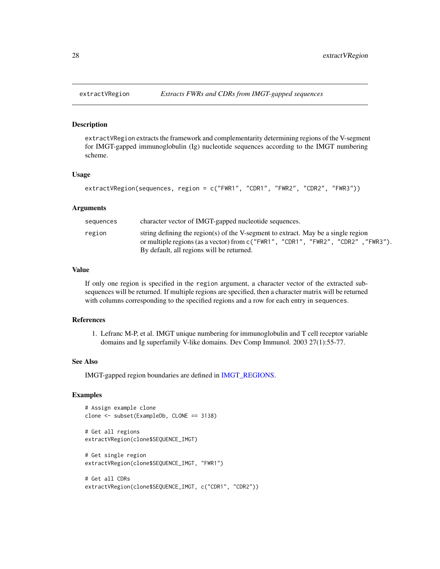<span id="page-27-1"></span><span id="page-27-0"></span>

extractVRegion extracts the framework and complementarity determining regions of the V-segment for IMGT-gapped immunoglobulin (Ig) nucleotide sequences according to the IMGT numbering scheme.

#### Usage

```
extractVRegion(sequences, region = c("FWR1", "CDR1", "FWR2", "CDR2", "FWR3"))
```
#### Arguments

| sequences | character vector of IMGT-gapped nucleotide sequences.                                                                                                                                                                  |
|-----------|------------------------------------------------------------------------------------------------------------------------------------------------------------------------------------------------------------------------|
| region    | string defining the region(s) of the V-segment to extract. May be a single region<br>or multiple regions (as a vector) from $c$ ("FWR1", "CDR1", "FWR2", "CDR2", "FWR3").<br>By default, all regions will be returned. |

# Value

If only one region is specified in the region argument, a character vector of the extracted subsequences will be returned. If multiple regions are specified, then a character matrix will be returned with columns corresponding to the specified regions and a row for each entry in sequences.

# References

1. Lefranc M-P, et al. IMGT unique numbering for immunoglobulin and T cell receptor variable domains and Ig superfamily V-like domains. Dev Comp Immunol. 2003 27(1):55-77.

#### See Also

IMGT-gapped region boundaries are defined in [IMGT\\_REGIONS.](#page-34-1)

```
# Assign example clone
clone <- subset(ExampleDb, CLONE == 3138)
# Get all regions
extractVRegion(clone$SEQUENCE_IMGT)
# Get single region
extractVRegion(clone$SEQUENCE_IMGT, "FWR1")
# Get all CDRs
extractVRegion(clone$SEQUENCE_IMGT, c("CDR1", "CDR2"))
```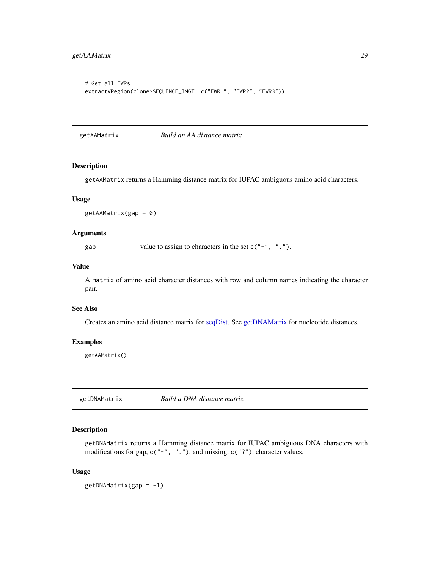```
# Get all FWRs
extractVRegion(clone$SEQUENCE_IMGT, c("FWR1", "FWR2", "FWR3"))
```
<span id="page-28-2"></span>getAAMatrix *Build an AA distance matrix*

#### Description

getAAMatrix returns a Hamming distance matrix for IUPAC ambiguous amino acid characters.

#### Usage

 $getAAMatrix(gap = 0)$ 

#### Arguments

gap value to assign to characters in the set  $c("-", "..").$ 

#### Value

A matrix of amino acid character distances with row and column names indicating the character pair.

# See Also

Creates an amino acid distance matrix for [seqDist.](#page-53-1) See [getDNAMatrix](#page-28-1) for nucleotide distances.

# Examples

getAAMatrix()

<span id="page-28-1"></span>getDNAMatrix *Build a DNA distance matrix*

# Description

getDNAMatrix returns a Hamming distance matrix for IUPAC ambiguous DNA characters with modifications for gap,  $c("-", ".^")$ , and missing,  $c("?"')$ , character values.

#### Usage

 $getDNAMatrix(gap = -1)$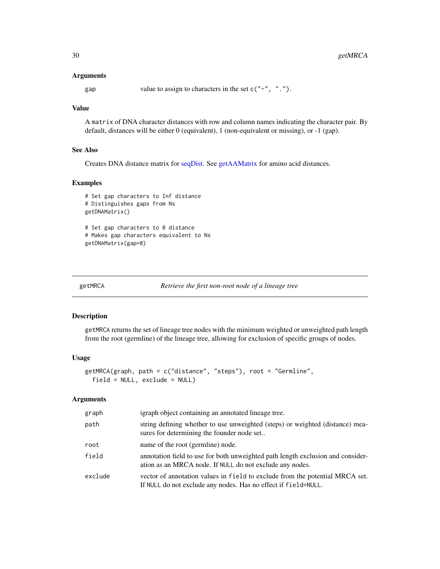#### <span id="page-29-0"></span>**Arguments**

gap value to assign to characters in the set  $c("-", "..").$ 

# Value

A matrix of DNA character distances with row and column names indicating the character pair. By default, distances will be either 0 (equivalent), 1 (non-equivalent or missing), or -1 (gap).

# See Also

Creates DNA distance matrix for [seqDist.](#page-53-1) See [getAAMatrix](#page-28-2) for amino acid distances.

#### Examples

```
# Set gap characters to Inf distance
# Distinguishes gaps from Ns
getDNAMatrix()
# Set gap characters to 0 distance
# Makes gap characters equivalent to Ns
getDNAMatrix(gap=0)
```
<span id="page-29-1"></span>getMRCA *Retrieve the first non-root node of a lineage tree*

# Description

getMRCA returns the set of lineage tree nodes with the minimum weighted or unweighted path length from the root (germline) of the lineage tree, allowing for exclusion of specific groups of nodes.

#### Usage

```
getMRCA(graph, path = c("distance", "steps"), root = "Germline",
 field = NULL, exclude = NULL)
```
# Arguments

| graph   | igraph object containing an annotated lineage tree.                                                                                            |
|---------|------------------------------------------------------------------------------------------------------------------------------------------------|
| path    | string defining whether to use unweighted (steps) or weighted (distance) mea-<br>sures for determining the founder node set                    |
| root    | name of the root (germline) node.                                                                                                              |
| field   | annotation field to use for both unweighted path length exclusion and consider-<br>ation as an MRCA node. If NULL do not exclude any nodes.    |
| exclude | vector of annotation values in field to exclude from the potential MRCA set.<br>If NULL do not exclude any nodes. Has no effect if field=NULL. |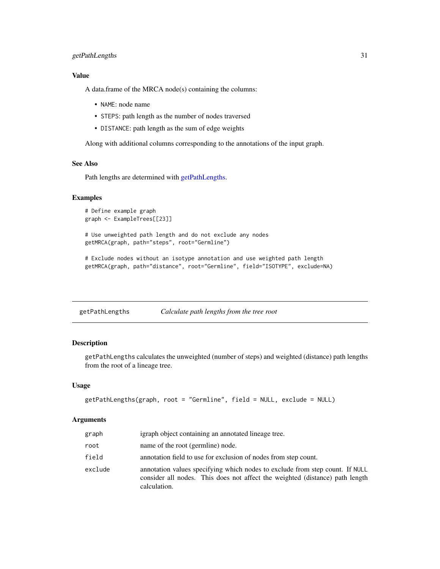# <span id="page-30-0"></span>getPathLengths 31

# Value

A data.frame of the MRCA node(s) containing the columns:

- NAME: node name
- STEPS: path length as the number of nodes traversed
- DISTANCE: path length as the sum of edge weights

Along with additional columns corresponding to the annotations of the input graph.

# See Also

Path lengths are determined with [getPathLengths.](#page-30-1)

# Examples

```
# Define example graph
graph <- ExampleTrees[[23]]
# Use unweighted path length and do not exclude any nodes
getMRCA(graph, path="steps", root="Germline")
```
# Exclude nodes without an isotype annotation and use weighted path length getMRCA(graph, path="distance", root="Germline", field="ISOTYPE", exclude=NA)

<span id="page-30-1"></span>getPathLengths *Calculate path lengths from the tree root*

# Description

getPathLengths calculates the unweighted (number of steps) and weighted (distance) path lengths from the root of a lineage tree.

# Usage

```
getPathLengths(graph, root = "Germline", field = NULL, exclude = NULL)
```
# **Arguments**

| graph   | igraph object containing an annotated lineage tree.                                                                                                                          |
|---------|------------------------------------------------------------------------------------------------------------------------------------------------------------------------------|
| root    | name of the root (germline) node.                                                                                                                                            |
| field   | annotation field to use for exclusion of nodes from step count.                                                                                                              |
| exclude | annotation values specifying which nodes to exclude from step count. If NULL<br>consider all nodes. This does not affect the weighted (distance) path length<br>calculation. |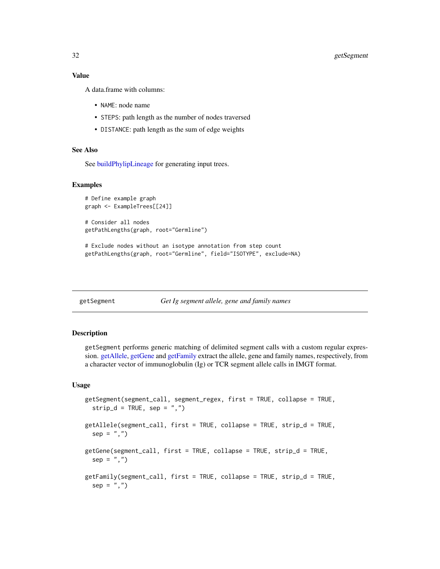# <span id="page-31-0"></span>32 getSegment

# Value

A data.frame with columns:

- NAME: node name
- STEPS: path length as the number of nodes traversed
- DISTANCE: path length as the sum of edge weights

# See Also

See [buildPhylipLineage](#page-8-1) for generating input trees.

#### Examples

```
# Define example graph
graph <- ExampleTrees[[24]]
```
# Consider all nodes getPathLengths(graph, root="Germline")

```
# Exclude nodes without an isotype annotation from step count
getPathLengths(graph, root="Germline", field="ISOTYPE", exclude=NA)
```

| getSegment |  |
|------------|--|
|------------|--|

```
Get Ig segment allele, gene and family names
```
#### <span id="page-31-1"></span>Description

getSegment performs generic matching of delimited segment calls with a custom regular expression. [getAllele,](#page-31-1) [getGene](#page-31-1) and [getFamily](#page-31-1) extract the allele, gene and family names, respectively, from a character vector of immunoglobulin (Ig) or TCR segment allele calls in IMGT format.

#### Usage

```
getSegment(segment_call, segment_regex, first = TRUE, collapse = TRUE,
  strip_d = TRUE, sep = ",")getAllele(segment_call, first = TRUE, collapse = TRUE, strip_d = TRUE,
  sep = ","')getGene(segment_call, first = TRUE, collapse = TRUE, strip_d = TRUE,
  sep = ","')getFamily(segment_call, first = TRUE, collapse = TRUE, strip_d = TRUE,
  sep = ","')
```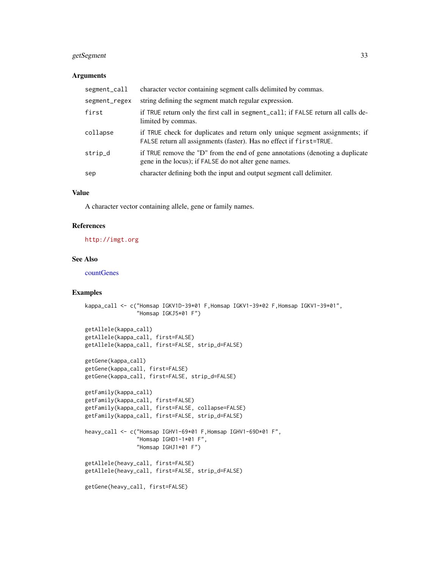# <span id="page-32-0"></span>getSegment 33

# Arguments

| segment_call  | character vector containing segment calls delimited by commas.                                                                                     |
|---------------|----------------------------------------------------------------------------------------------------------------------------------------------------|
| segment_regex | string defining the segment match regular expression.                                                                                              |
| first         | if TRUE return only the first call in segment_call; if FALSE return all calls de-<br>limited by commas.                                            |
| collapse      | if TRUE check for duplicates and return only unique segment assignments; if<br>FALSE return all assignments (faster). Has no effect if first=TRUE. |
| strip_d       | if TRUE remove the "D" from the end of gene annotations (denoting a duplicate<br>gene in the locus); if FALSE do not alter gene names.             |
| sep           | character defining both the input and output segment call delimiter.                                                                               |

# Value

A character vector containing allele, gene or family names.

# References

<http://imgt.org>

# See Also

[countGenes](#page-18-1)

```
kappa_call <- c("Homsap IGKV1D-39*01 F,Homsap IGKV1-39*02 F,Homsap IGKV1-39*01",
                "Homsap IGKJ5*01 F")
getAllele(kappa_call)
getAllele(kappa_call, first=FALSE)
getAllele(kappa_call, first=FALSE, strip_d=FALSE)
getGene(kappa_call)
getGene(kappa_call, first=FALSE)
getGene(kappa_call, first=FALSE, strip_d=FALSE)
getFamily(kappa_call)
```

```
getFamily(kappa_call, first=FALSE)
getFamily(kappa_call, first=FALSE, collapse=FALSE)
getFamily(kappa_call, first=FALSE, strip_d=FALSE)
heavy_call <- c("Homsap IGHV1-69*01 F,Homsap IGHV1-69D*01 F",
```

```
"Homsap IGHD1-1*01 F",
"Homsap IGHJ1*01 F")
```

```
getAllele(heavy_call, first=FALSE)
getAllele(heavy_call, first=FALSE, strip_d=FALSE)
```

```
getGene(heavy_call, first=FALSE)
```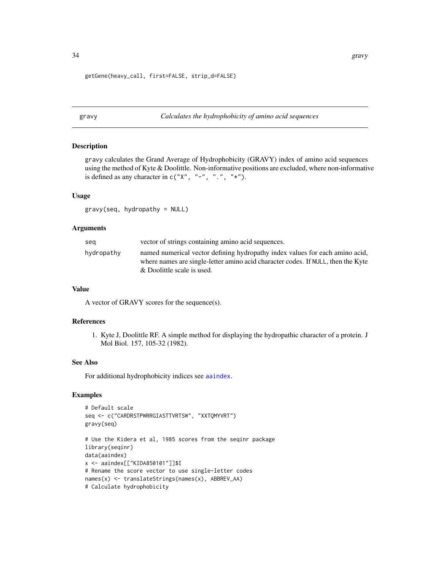<span id="page-33-0"></span>getGene(heavy\_call, first=FALSE, strip\_d=FALSE)

<span id="page-33-1"></span>gravy *Calculates the hydrophobicity of amino acid sequences*

# Description

gravy calculates the Grand Average of Hydrophobicity (GRAVY) index of amino acid sequences using the method of Kyte & Doolittle. Non-informative positions are excluded, where non-informative is defined as any character in  $c("X", "-"", "."," "*")$ .

#### Usage

gravy(seq, hydropathy = NULL)

#### Arguments

| seg        | vector of strings containing amino acid sequences.                                                                                                                                             |
|------------|------------------------------------------------------------------------------------------------------------------------------------------------------------------------------------------------|
| hydropathy | named numerical vector defining hydropathy index values for each amino acid,<br>where names are single-letter amino acid character codes. If NULL, then the Kyte<br>& Doolittle scale is used. |

# Value

A vector of GRAVY scores for the sequence(s).

# References

1. Kyte J, Doolittle RF. A simple method for displaying the hydropathic character of a protein. J Mol Biol. 157, 105-32 (1982).

#### See Also

For additional hydrophobicity indices see [aaindex](#page-0-0).

# Examples

```
# Default scale
seq <- c("CARDRSTPWRRGIASTTVRTSW", "XXTQMYVRT")
gravy(seq)
# Use the Kidera et al, 1985 scores from the seqinr package
library(seqinr)
data(aaindex)
```
x <- aaindex[["KIDA850101"]]\$I

```
# Rename the score vector to use single-letter codes
```

```
names(x) <- translateStrings(names(x), ABBREV_AA)
```

```
# Calculate hydrophobicity
```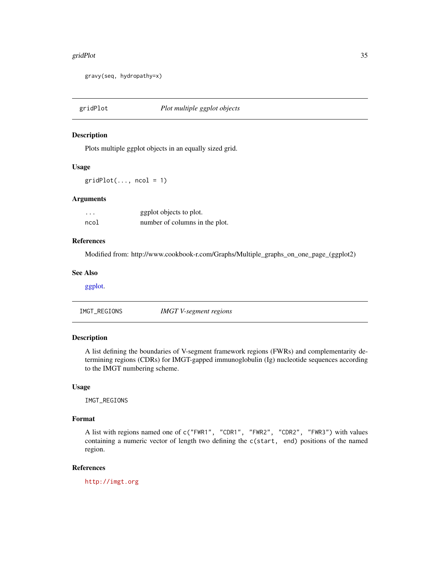#### <span id="page-34-0"></span>gridPlot 35

gravy(seq, hydropathy=x)

gridPlot *Plot multiple ggplot objects*

# Description

Plots multiple ggplot objects in an equally sized grid.

#### Usage

 $gridPlot(..., ncol = 1)$ 

# **Arguments**

| $\cdots$ | ggplot objects to plot.        |
|----------|--------------------------------|
| ncol     | number of columns in the plot. |

#### References

Modified from: http://www.cookbook-r.com/Graphs/Multiple\_graphs\_on\_one\_page\_(ggplot2)

#### See Also

[ggplot.](#page-0-0)

<span id="page-34-1"></span>IMGT\_REGIONS *IMGT V-segment regions*

# Description

A list defining the boundaries of V-segment framework regions (FWRs) and complementarity determining regions (CDRs) for IMGT-gapped immunoglobulin (Ig) nucleotide sequences according to the IMGT numbering scheme.

# Usage

IMGT\_REGIONS

# Format

A list with regions named one of c("FWR1", "CDR1", "FWR2", "CDR2", "FWR3") with values containing a numeric vector of length two defining the c(start, end) positions of the named region.

# References

<http://imgt.org>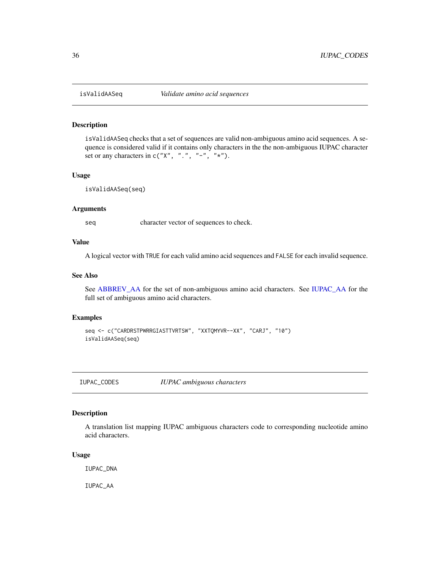<span id="page-35-0"></span>

isValidAASeq checks that a set of sequences are valid non-ambiguous amino acid sequences. A sequence is considered valid if it contains only characters in the the non-ambiguous IUPAC character set or any characters in  $c("X", "."," "-"," "*").$ 

#### Usage

isValidAASeq(seq)

# Arguments

seq character vector of sequences to check.

#### Value

A logical vector with TRUE for each valid amino acid sequences and FALSE for each invalid sequence.

#### See Also

See [ABBREV\\_AA](#page-2-1) for the set of non-ambiguous amino acid characters. See [IUPAC\\_AA](#page-35-1) for the full set of ambiguous amino acid characters.

#### Examples

```
seq <- c("CARDRSTPWRRGIASTTVRTSW", "XXTQMYVR--XX", "CARJ", "10")
isValidAASeq(seq)
```
IUPAC\_CODES *IUPAC ambiguous characters*

#### <span id="page-35-1"></span>Description

A translation list mapping IUPAC ambiguous characters code to corresponding nucleotide amino acid characters.

#### Usage

IUPAC\_DNA

IUPAC\_AA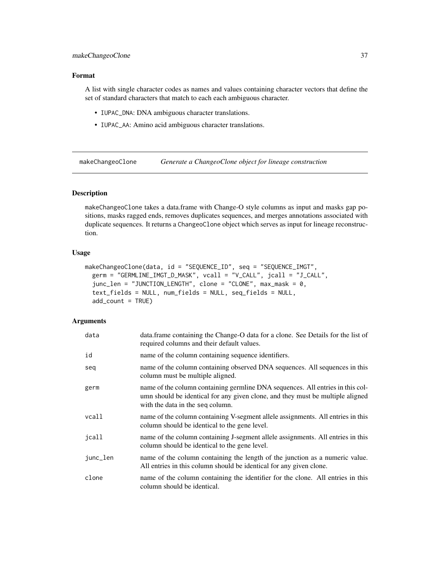# <span id="page-36-0"></span>makeChangeoClone 37

# Format

A list with single character codes as names and values containing character vectors that define the set of standard characters that match to each each ambiguous character.

- IUPAC\_DNA: DNA ambiguous character translations.
- IUPAC\_AA: Amino acid ambiguous character translations.

<span id="page-36-1"></span>makeChangeoClone *Generate a ChangeoClone object for lineage construction*

# **Description**

makeChangeoClone takes a data.frame with Change-O style columns as input and masks gap positions, masks ragged ends, removes duplicates sequences, and merges annotations associated with duplicate sequences. It returns a ChangeoClone object which serves as input for lineage reconstruction.

# Usage

```
makeChangeoClone(data, id = "SEQUENCE_ID", seq = "SEQUENCE_IMGT",
 germ = "GERMLINE_IMGT_D_MASK", vcall = "V_CALL", jcall = "J_CALL",
  junc_len = "JUNCTION_LENGTH", clone = "CLONE", max_mask = 0,
  text_fields = NULL, num_fields = NULL, seq_fields = NULL,
  add\_count = TRUE)
```
# Arguments

| data     | data.frame containing the Change-O data for a clone. See Details for the list of<br>required columns and their default values.                                                                       |
|----------|------------------------------------------------------------------------------------------------------------------------------------------------------------------------------------------------------|
| id       | name of the column containing sequence identifiers.                                                                                                                                                  |
| seq      | name of the column containing observed DNA sequences. All sequences in this<br>column must be multiple aligned.                                                                                      |
| germ     | name of the column containing germline DNA sequences. All entries in this col-<br>umn should be identical for any given clone, and they must be multiple aligned<br>with the data in the seq column. |
| vcall    | name of the column containing V-segment allele assignments. All entries in this<br>column should be identical to the gene level.                                                                     |
| icall    | name of the column containing J-segment allele assignments. All entries in this<br>column should be identical to the gene level.                                                                     |
| junc_len | name of the column containing the length of the junction as a numeric value.<br>All entries in this column should be identical for any given clone.                                                  |
| clone    | name of the column containing the identifier for the clone. All entries in this<br>column should be identical.                                                                                       |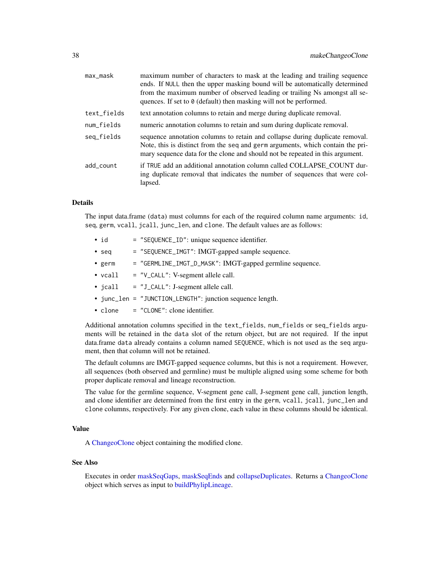<span id="page-37-0"></span>

| max_mask    | maximum number of characters to mask at the leading and trailing sequence<br>ends. If NULL then the upper masking bound will be automatically determined<br>from the maximum number of observed leading or trailing Ns amongst all se-<br>quences. If set to 0 (default) then masking will not be performed. |
|-------------|--------------------------------------------------------------------------------------------------------------------------------------------------------------------------------------------------------------------------------------------------------------------------------------------------------------|
| text_fields | text annotation columns to retain and merge during duplicate removal.                                                                                                                                                                                                                                        |
| num_fields  | numeric annotation columns to retain and sum during duplicate removal.                                                                                                                                                                                                                                       |
| seq_fields  | sequence annotation columns to retain and collapse during duplicate removal.<br>Note, this is distinct from the seq and germ arguments, which contain the pri-<br>mary sequence data for the clone and should not be repeated in this argument.                                                              |
| add_count   | if TRUE add an additional annotation column called COLLAPSE COUNT dur-<br>ing duplicate removal that indicates the number of sequences that were col-<br>lapsed.                                                                                                                                             |

#### Details

The input data.frame (data) must columns for each of the required column name arguments: id, seq, germ, vcall, jcall, junc\_len, and clone. The default values are as follows:

- id = "SEQUENCE\_ID": unique sequence identifier.
- seq = "SEQUENCE\_IMGT": IMGT-gapped sample sequence.
- germ = "GERMLINE\_IMGT\_D\_MASK": IMGT-gapped germline sequence.
- $vcall = "V_CALL": V-segment allele call.$
- jcall = "J\_CALL": J-segment allele call.
- junc\_len = "JUNCTION\_LENGTH": junction sequence length.
- clone = "CLONE": clone identifier.

Additional annotation columns specified in the text\_fields, num\_fields or seq\_fields arguments will be retained in the data slot of the return object, but are not required. If the input data.frame data already contains a column named SEQUENCE, which is not used as the seq argument, then that column will not be retained.

The default columns are IMGT-gapped sequence columns, but this is not a requirement. However, all sequences (both observed and germline) must be multiple aligned using some scheme for both proper duplicate removal and lineage reconstruction.

The value for the germline sequence, V-segment gene call, J-segment gene call, junction length, and clone identifier are determined from the first entry in the germ, vcall, jcall, junc\_len and clone columns, respectively. For any given clone, each value in these columns should be identical.

# Value

A [ChangeoClone](#page-13-1) object containing the modified clone.

# See Also

Executes in order [maskSeqGaps,](#page-40-1) [maskSeqEnds](#page-39-1) and [collapseDuplicates.](#page-15-1) Returns a [ChangeoClone](#page-13-1) object which serves as input to [buildPhylipLineage.](#page-8-1)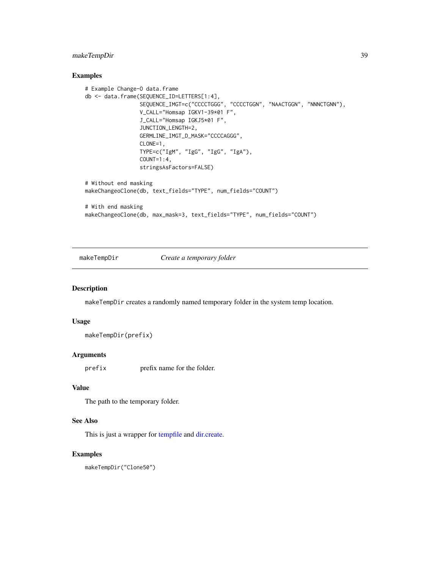# <span id="page-38-0"></span>makeTempDir 39

# Examples

```
# Example Change-O data.frame
db <- data.frame(SEQUENCE_ID=LETTERS[1:4],
                 SEQUENCE_IMGT=c("CCCCTGGG", "CCCCTGGN", "NAACTGGN", "NNNCTGNN"),
                 V_CALL="Homsap IGKV1-39*01 F",
                 J_CALL="Homsap IGKJ5*01 F",
                 JUNCTION_LENGTH=2,
                 GERMLINE_IMGT_D_MASK="CCCCAGGG",
                 CLONE=1,
                 TYPE=c("IgM", "IgG", "IgG", "IgA"),
                 COUNT=1:4.
                 stringsAsFactors=FALSE)
# Without end masking
makeChangeoClone(db, text_fields="TYPE", num_fields="COUNT")
# With end masking
makeChangeoClone(db, max_mask=3, text_fields="TYPE", num_fields="COUNT")
```
<span id="page-38-1"></span>

makeTempDir *Create a temporary folder*

# Description

makeTempDir creates a randomly named temporary folder in the system temp location.

#### Usage

makeTempDir(prefix)

#### Arguments

prefix prefix name for the folder.

# Value

The path to the temporary folder.

# See Also

This is just a wrapper for [tempfile](#page-0-0) and [dir.create.](#page-0-0)

# Examples

makeTempDir("Clone50")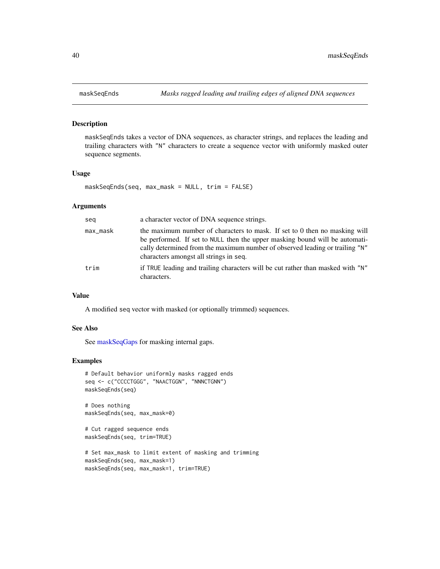<span id="page-39-1"></span><span id="page-39-0"></span>

maskSeqEnds takes a vector of DNA sequences, as character strings, and replaces the leading and trailing characters with "N" characters to create a sequence vector with uniformly masked outer sequence segments.

#### Usage

maskSeqEnds(seq, max\_mask = NULL, trim = FALSE)

# Arguments

| seg      | a character vector of DNA sequence strings.                                                                                                                                                                                                                                         |
|----------|-------------------------------------------------------------------------------------------------------------------------------------------------------------------------------------------------------------------------------------------------------------------------------------|
| max_mask | the maximum number of characters to mask. If set to 0 then no masking will<br>be performed. If set to NULL then the upper masking bound will be automati-<br>cally determined from the maximum number of observed leading or trailing "N"<br>characters amongst all strings in seq. |
| trim     | if TRUE leading and trailing characters will be cut rather than masked with "N"<br>characters.                                                                                                                                                                                      |

#### Value

A modified seq vector with masked (or optionally trimmed) sequences.

#### See Also

See [maskSeqGaps](#page-40-1) for masking internal gaps.

# Examples

```
# Default behavior uniformly masks ragged ends
seq <- c("CCCCTGGG", "NAACTGGN", "NNNCTGNN")
maskSeqEnds(seq)
```
# Does nothing maskSeqEnds(seq, max\_mask=0)

```
# Cut ragged sequence ends
maskSeqEnds(seq, trim=TRUE)
```

```
# Set max_mask to limit extent of masking and trimming
maskSeqEnds(seq, max_mask=1)
maskSeqEnds(seq, max_mask=1, trim=TRUE)
```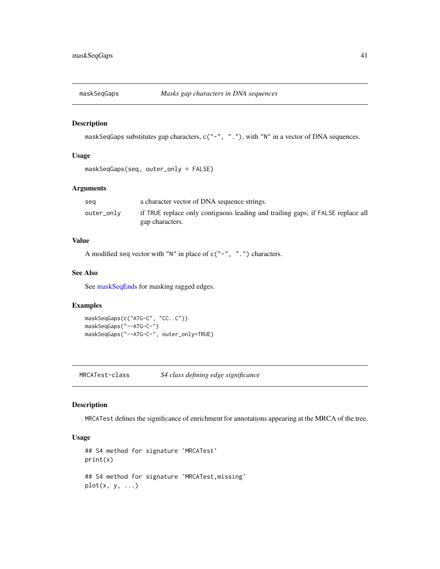<span id="page-40-1"></span><span id="page-40-0"></span>

maskSeqGaps substitutes gap characters, c("-", "."), with "N" in a vector of DNA sequences.

#### Usage

```
maskSeqGaps(seq, outer_only = FALSE)
```
# Arguments

| sea        | a character vector of DNA sequence strings.                                     |
|------------|---------------------------------------------------------------------------------|
| outer_only | if TRUE replace only contiguous leading and trailing gaps; if FALSE replace all |
|            | gap characters.                                                                 |

# Value

A modified seq vector with "N" in place of c("-", ".") characters.

#### See Also

See [maskSeqEnds](#page-39-1) for masking ragged edges.

# Examples

```
maskSeqGaps(c("ATG-C", "CC..C"))
maskSeqGaps("--ATG-C-")
maskSeqGaps("--ATG-C-", outer_only=TRUE)
```
MRCATest-class *S4 class defining edge significance*

# <span id="page-40-2"></span>Description

MRCATest defines the significance of enrichment for annotations appearing at the MRCA of the tree.

#### Usage

```
## S4 method for signature 'MRCATest'
print(x)
## S4 method for signature 'MRCATest,missing'
plot(x, y, ...)
```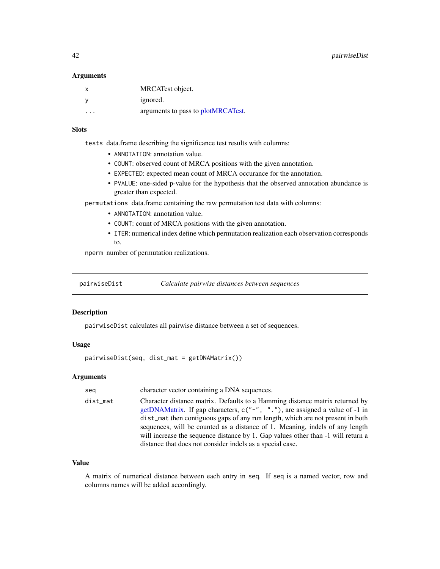<span id="page-41-0"></span>42 pairwiseDist

#### **Arguments**

| x                       | MRCATest object.                   |
|-------------------------|------------------------------------|
|                         | ignored.                           |
| $\cdot$ $\cdot$ $\cdot$ | arguments to pass to plotMRCATest. |

# **Slots**

tests data.frame describing the significance test results with columns:

- ANNOTATION: annotation value.
- COUNT: observed count of MRCA positions with the given annotation.
- EXPECTED: expected mean count of MRCA occurance for the annotation.
- PVALUE: one-sided p-value for the hypothesis that the observed annotation abundance is greater than expected.

permutations data.frame containing the raw permutation test data with columns:

- ANNOTATION: annotation value.
- COUNT: count of MRCA positions with the given annotation.
- ITER: numerical index define which permutation realization each observation corresponds to.

nperm number of permutation realizations.

<span id="page-41-1"></span>pairwiseDist *Calculate pairwise distances between sequences*

# Description

pairwiseDist calculates all pairwise distance between a set of sequences.

#### Usage

pairwiseDist(seq, dist\_mat = getDNAMatrix())

# Arguments

| seq      | character vector containing a DNA sequences.                                                                                                                                                                                                                                                                                                                                                                                                                                      |
|----------|-----------------------------------------------------------------------------------------------------------------------------------------------------------------------------------------------------------------------------------------------------------------------------------------------------------------------------------------------------------------------------------------------------------------------------------------------------------------------------------|
| dist_mat | Character distance matrix. Defaults to a Hamming distance matrix returned by<br>getDNAMatrix. If gap characters, $c("$ –", "."), are assigned a value of -1 in<br>dist_mat then contiguous gaps of any run length, which are not present in both<br>sequences, will be counted as a distance of 1. Meaning, indels of any length<br>will increase the sequence distance by 1. Gap values other than -1 will return a<br>distance that does not consider indels as a special case. |

# Value

A matrix of numerical distance between each entry in seq. If seq is a named vector, row and columns names will be added accordingly.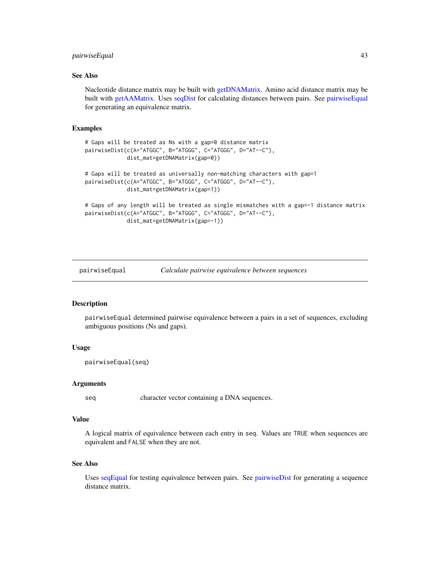# <span id="page-42-0"></span>pairwiseEqual 43

# See Also

Nucleotide distance matrix may be built with [getDNAMatrix.](#page-28-1) Amino acid distance matrix may be built with [getAAMatrix.](#page-28-2) Uses [seqDist](#page-53-1) for calculating distances between pairs. See [pairwiseEqual](#page-42-1) for generating an equivalence matrix.

#### Examples

```
# Gaps will be treated as Ns with a gap=0 distance matrix
pairwiseDist(c(A="ATGGC", B="ATGGG", C="ATGGG", D="AT--C"),
             dist_mat=getDNAMatrix(gap=0))
# Gaps will be treated as universally non-matching characters with gap=1
pairwiseDist(c(A="ATGGC", B="ATGGG", C="ATGGG", D="AT--C"),
             dist_mat=getDNAMatrix(gap=1))
# Gaps of any length will be treated as single mismatches with a gap=-1 distance matrix
pairwiseDist(c(A="ATGGC", B="ATGGG", C="ATGGG", D="AT--C"),
             dist_mat=getDNAMatrix(gap=-1))
```
<span id="page-42-1"></span>

pairwiseEqual *Calculate pairwise equivalence between sequences*

# Description

pairwiseEqual determined pairwise equivalence between a pairs in a set of sequences, excluding ambiguous positions (Ns and gaps).

# Usage

```
pairwiseEqual(seq)
```
#### Arguments

seq character vector containing a DNA sequences.

#### Value

A logical matrix of equivalence between each entry in seq. Values are TRUE when sequences are equivalent and FALSE when they are not.

#### See Also

Uses [seqEqual](#page-55-1) for testing equivalence between pairs. See [pairwiseDist](#page-41-1) for generating a sequence distance matrix.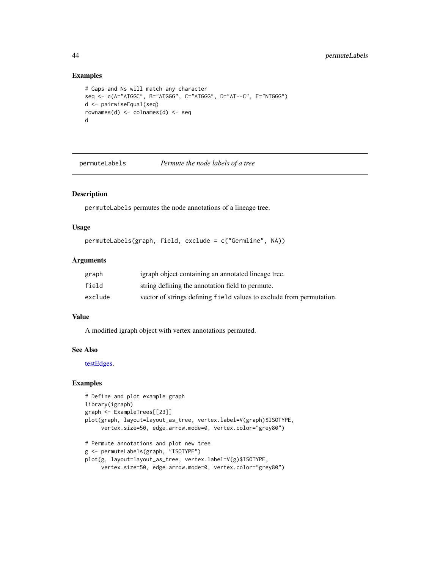#### Examples

```
# Gaps and Ns will match any character
seq <- c(A="ATGGC", B="ATGGG", C="ATGGG", D="AT--C", E="NTGGG")
d <- pairwiseEqual(seq)
rownames(d) <- colnames(d) <- seq
d
```
<span id="page-43-1"></span>permuteLabels *Permute the node labels of a tree*

# Description

permuteLabels permutes the node annotations of a lineage tree.

#### Usage

```
permuteLabels(graph, field, exclude = c("Germline", NA))
```
# Arguments

| graph   | igraph object containing an annotated lineage tree.                  |
|---------|----------------------------------------------------------------------|
| field   | string defining the annotation field to permute.                     |
| exclude | vector of strings defining field values to exclude from permutation. |

# Value

A modified igraph object with vertex annotations permuted.

#### See Also

[testEdges.](#page-61-1)

```
# Define and plot example graph
library(igraph)
graph <- ExampleTrees[[23]]
plot(graph, layout=layout_as_tree, vertex.label=V(graph)$ISOTYPE,
     vertex.size=50, edge.arrow.mode=0, vertex.color="grey80")
# Permute annotations and plot new tree
g <- permuteLabels(graph, "ISOTYPE")
plot(g, layout=layout_as_tree, vertex.label=V(g)$ISOTYPE,
     vertex.size=50, edge.arrow.mode=0, vertex.color="grey80")
```
<span id="page-43-0"></span>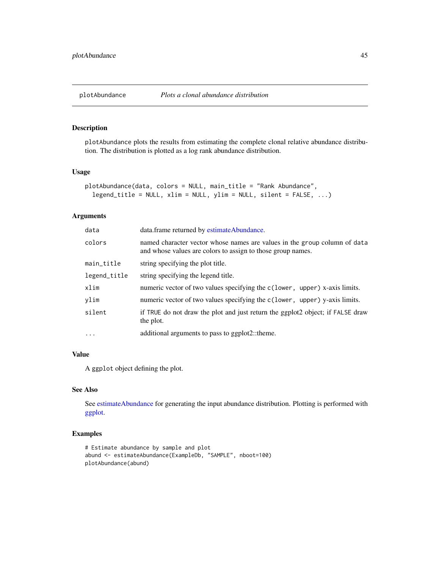<span id="page-44-1"></span><span id="page-44-0"></span>plotAbundance plots the results from estimating the complete clonal relative abundance distribution. The distribution is plotted as a log rank abundance distribution.

#### Usage

```
plotAbundance(data, colors = NULL, main_title = "Rank Abundance",
  legend_title = NULL, xlim = NULL, ylim = NULL, silent = FALSE, ...)
```
#### Arguments

| data         | data.frame returned by estimateAbundance.                                                                                                |
|--------------|------------------------------------------------------------------------------------------------------------------------------------------|
| colors       | named character vector whose names are values in the group column of data<br>and whose values are colors to assign to those group names. |
| main_title   | string specifying the plot title.                                                                                                        |
| legend_title | string specifying the legend title.                                                                                                      |
| xlim         | numeric vector of two values specifying the c(lower, upper) x-axis limits.                                                               |
| ylim         | numeric vector of two values specifying the c(lower, upper) y-axis limits.                                                               |
| silent       | if TRUE do not draw the plot and just return the ggplot2 object; if FALSE draw<br>the plot.                                              |
| $\cdots$     | additional arguments to pass to ggplot2::theme.                                                                                          |
|              |                                                                                                                                          |

#### Value

A ggplot object defining the plot.

#### See Also

See [estimateAbundance](#page-24-1) for generating the input abundance distribution. Plotting is performed with [ggplot.](#page-0-0)

```
# Estimate abundance by sample and plot
abund <- estimateAbundance(ExampleDb, "SAMPLE", nboot=100)
plotAbundance(abund)
```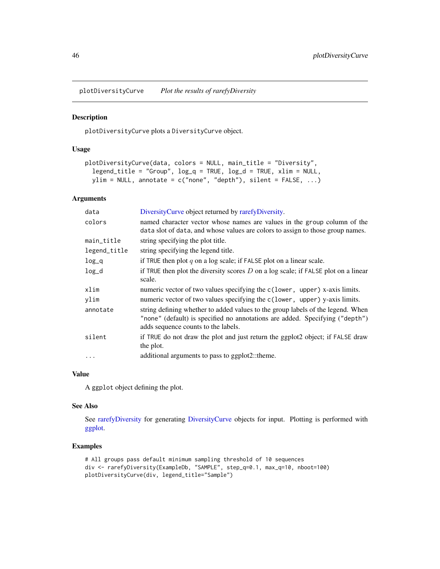<span id="page-45-1"></span><span id="page-45-0"></span>plotDiversityCurve *Plot the results of rarefyDiversity*

# Description

plotDiversityCurve plots a DiversityCurve object.

#### Usage

```
plotDiversityCurve(data, colors = NULL, main_title = "Diversity",
  legend_title = "Group", log_q = TRUE, log_d = TRUE, xlim = NULL,
 ylim = NULL, annotate = c("none", "depth"), silent = FALSE, ...)
```
# Arguments

| data         | DiversityCurve object returned by rarefyDiversity.                                                                                                                                                     |
|--------------|--------------------------------------------------------------------------------------------------------------------------------------------------------------------------------------------------------|
| colors       | named character vector whose names are values in the group column of the<br>data slot of data, and whose values are colors to assign to those group names.                                             |
| main_title   | string specifying the plot title.                                                                                                                                                                      |
| legend_title | string specifying the legend title.                                                                                                                                                                    |
| $log_q$      | if TRUE then plot q on a log scale; if FALSE plot on a linear scale.                                                                                                                                   |
| $log_d$      | if TRUE then plot the diversity scores $D$ on a log scale; if FALSE plot on a linear<br>scale.                                                                                                         |
| xlim         | numeric vector of two values specifying the c(lower, upper) x-axis limits.                                                                                                                             |
| ylim         | numeric vector of two values specifying the c(lower, upper) y-axis limits.                                                                                                                             |
| annotate     | string defining whether to added values to the group labels of the legend. When<br>"none" (default) is specified no annotations are added. Specifying ("depth")<br>adds sequence counts to the labels. |
| silent       | if TRUE do not draw the plot and just return the ggplot2 object; if FALSE draw<br>the plot.                                                                                                            |
| $\cdots$     | additional arguments to pass to ggplot2::theme.                                                                                                                                                        |

#### Value

A ggplot object defining the plot.

#### See Also

See [rarefyDiversity](#page-50-1) for generating [DiversityCurve](#page-21-1) objects for input. Plotting is performed with [ggplot.](#page-0-0)

```
# All groups pass default minimum sampling threshold of 10 sequences
div <- rarefyDiversity(ExampleDb, "SAMPLE", step_q=0.1, max_q=10, nboot=100)
plotDiversityCurve(div, legend_title="Sample")
```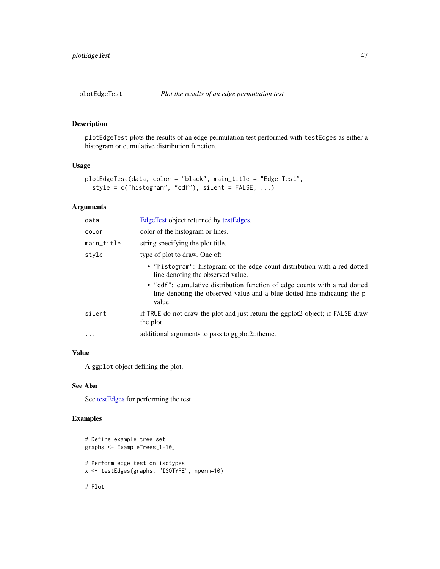<span id="page-46-1"></span><span id="page-46-0"></span>

plotEdgeTest plots the results of an edge permutation test performed with testEdges as either a histogram or cumulative distribution function.

# Usage

```
plotEdgeTest(data, color = "black", main_title = "Edge Test",
  style = c("histogram", "cdf"), silent = FALSE, ...)
```
# Arguments

| data       | EdgeTest object returned by testEdges.                                                                                                                            |
|------------|-------------------------------------------------------------------------------------------------------------------------------------------------------------------|
| color      | color of the histogram or lines.                                                                                                                                  |
| main_title | string specifying the plot title.                                                                                                                                 |
| style      | type of plot to draw. One of:                                                                                                                                     |
|            | • "histogram": histogram of the edge count distribution with a red dotted<br>line denoting the observed value.                                                    |
|            | • "cdf": cumulative distribution function of edge counts with a red dotted<br>line denoting the observed value and a blue dotted line indicating the p-<br>value. |
| silent     | if TRUE do not draw the plot and just return the ggplot2 object; if FALSE draw<br>the plot.                                                                       |
| $\cdot$    | additional arguments to pass to ggplot2::theme.                                                                                                                   |
|            |                                                                                                                                                                   |

# Value

A ggplot object defining the plot.

# See Also

See [testEdges](#page-61-1) for performing the test.

# Examples

```
# Define example tree set
graphs <- ExampleTrees[1-10]
# Perform edge test on isotypes
x <- testEdges(graphs, "ISOTYPE", nperm=10)
```
# Plot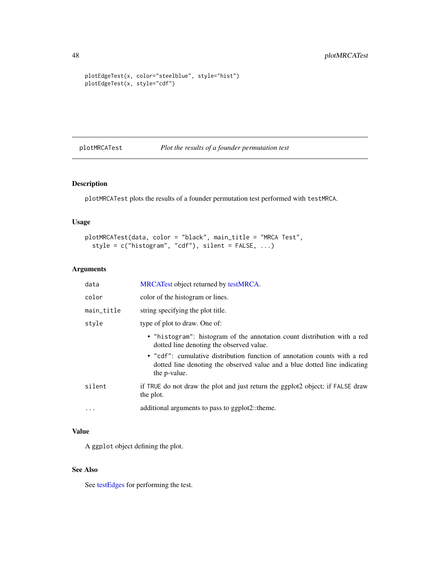```
plotEdgeTest(x, color="steelblue", style="hist")
plotEdgeTest(x, style="cdf")
```
<span id="page-47-1"></span>plotMRCATest *Plot the results of a founder permutation test*

# Description

plotMRCATest plots the results of a founder permutation test performed with testMRCA.

# Usage

```
plotMRCATest(data, color = "black", main_title = "MRCA Test",
  style = c("histogram", "cdf"), silent = FALSE, ...)
```
# Arguments

| data       | MRCATest object returned by testMRCA.                                                                                                                                  |
|------------|------------------------------------------------------------------------------------------------------------------------------------------------------------------------|
| color      | color of the histogram or lines.                                                                                                                                       |
| main_title | string specifying the plot title.                                                                                                                                      |
| style      | type of plot to draw. One of:                                                                                                                                          |
|            | • "histogram": histogram of the annotation count distribution with a red<br>dotted line denoting the observed value.                                                   |
|            | • "cdf": cumulative distribution function of annotation counts with a red<br>dotted line denoting the observed value and a blue dotted line indicating<br>the p-value. |
| silent     | if TRUE do not draw the plot and just return the ggplot2 object; if FALSE draw<br>the plot.                                                                            |
| $\cdots$   | additional arguments to pass to ggplot2::theme.                                                                                                                        |

# Value

A ggplot object defining the plot.

# See Also

See [testEdges](#page-61-1) for performing the test.

<span id="page-47-0"></span>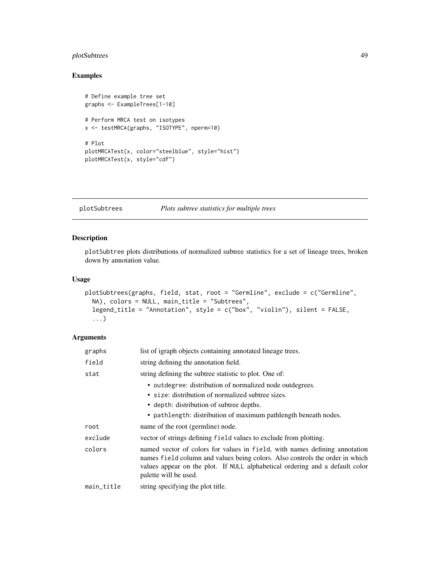# <span id="page-48-0"></span>plotSubtrees 49

# Examples

```
# Define example tree set
graphs <- ExampleTrees[1-10]
# Perform MRCA test on isotypes
x <- testMRCA(graphs, "ISOTYPE", nperm=10)
# Plot
plotMRCATest(x, color="steelblue", style="hist")
plotMRCATest(x, style="cdf")
```
#### <span id="page-48-1"></span>plotSubtrees *Plots subtree statistics for multiple trees*

# Description

plotSubtree plots distributions of normalized subtree statistics for a set of lineage trees, broken down by annotation value.

# Usage

```
plotSubtrees(graphs, field, stat, root = "Germline", exclude = c("Germline",
 NA), colors = NULL, main_title = "Subtrees",
  legend_title = "Annotation", style = c("box", "violin"), silent = FALSE,
  ...)
```
#### Arguments

| graphs     | list of igraph objects containing annotated lineage trees.                                                                                                                                                                                                          |
|------------|---------------------------------------------------------------------------------------------------------------------------------------------------------------------------------------------------------------------------------------------------------------------|
| field      | string defining the annotation field.                                                                                                                                                                                                                               |
| stat       | string defining the subtree statistic to plot. One of:                                                                                                                                                                                                              |
|            | • outdegree: distribution of normalized node outdegrees.                                                                                                                                                                                                            |
|            | • size: distribution of normalized subtree sizes.                                                                                                                                                                                                                   |
|            | • depth: distribution of subtree depths.                                                                                                                                                                                                                            |
|            | • pathlength: distribution of maximum pathlength beneath nodes.                                                                                                                                                                                                     |
| root       | name of the root (germline) node.                                                                                                                                                                                                                                   |
| exclude    | vector of strings defining field values to exclude from plotting.                                                                                                                                                                                                   |
| colors     | named vector of colors for values in field, with names defining annotation<br>names field column and values being colors. Also controls the order in which<br>values appear on the plot. If NULL alphabetical ordering and a default color<br>palette will be used. |
| main_title | string specifying the plot title.                                                                                                                                                                                                                                   |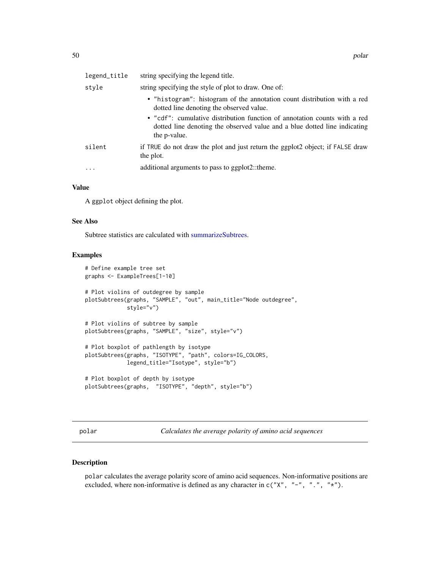<span id="page-49-0"></span>

| legend_title | string specifying the legend title.                                                                                                                                    |
|--------------|------------------------------------------------------------------------------------------------------------------------------------------------------------------------|
| style        | string specifying the style of plot to draw. One of:                                                                                                                   |
|              | • "histogram": histogram of the annotation count distribution with a red<br>dotted line denoting the observed value.                                                   |
|              | • "cdf": cumulative distribution function of annotation counts with a red<br>dotted line denoting the observed value and a blue dotted line indicating<br>the p-value. |
| silent       | if TRUE do not draw the plot and just return the ggplot2 object; if FALSE draw<br>the plot.                                                                            |
| $\ddots$     | additional arguments to pass to ggplot2::theme.                                                                                                                        |

### Value

A ggplot object defining the plot.

#### See Also

Subtree statistics are calculated with [summarizeSubtrees.](#page-57-1)

#### Examples

```
# Define example tree set
graphs <- ExampleTrees[1-10]
# Plot violins of outdegree by sample
plotSubtrees(graphs, "SAMPLE", "out", main_title="Node outdegree",
            style="v")
# Plot violins of subtree by sample
plotSubtrees(graphs, "SAMPLE", "size", style="v")
# Plot boxplot of pathlength by isotype
plotSubtrees(graphs, "ISOTYPE", "path", colors=IG_COLORS,
            legend_title="Isotype", style="b")
# Plot boxplot of depth by isotype
plotSubtrees(graphs, "ISOTYPE", "depth", style="b")
```
<span id="page-49-1"></span>polar *Calculates the average polarity of amino acid sequences*

# Description

polar calculates the average polarity score of amino acid sequences. Non-informative positions are excluded, where non-informative is defined as any character in c("X", "-", ".", "\*").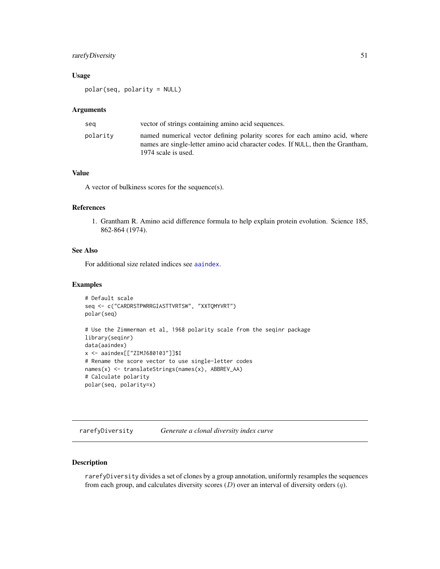# <span id="page-50-0"></span>rarefyDiversity 51

# Usage

polar(seq, polarity = NULL)

#### Arguments

| sea      | vector of strings containing amino acid sequences.                                                                                                                                   |
|----------|--------------------------------------------------------------------------------------------------------------------------------------------------------------------------------------|
| polarity | named numerical vector defining polarity scores for each amino acid, where<br>names are single-letter amino acid character codes. If NULL, then the Grantham,<br>1974 scale is used. |

# Value

A vector of bulkiness scores for the sequence(s).

# References

1. Grantham R. Amino acid difference formula to help explain protein evolution. Science 185, 862-864 (1974).

#### See Also

For additional size related indices see [aaindex](#page-0-0).

# Examples

```
# Default scale
seq <- c("CARDRSTPWRRGIASTTVRTSW", "XXTQMYVRT")
polar(seq)
# Use the Zimmerman et al, 1968 polarity scale from the seqinr package
library(seqinr)
data(aaindex)
x <- aaindex[["ZIMJ680103"]]$I
# Rename the score vector to use single-letter codes
names(x) <- translateStrings(names(x), ABBREV_AA)
# Calculate polarity
polar(seq, polarity=x)
```
<span id="page-50-1"></span>rarefyDiversity *Generate a clonal diversity index curve*

# Description

rarefyDiversity divides a set of clones by a group annotation, uniformly resamples the sequences from each group, and calculates diversity scores  $(D)$  over an interval of diversity orders  $(q)$ .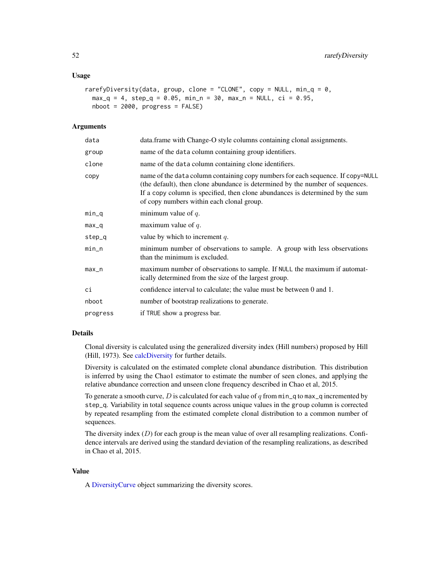#### <span id="page-51-0"></span>Usage

```
rarefyDiversity(data, group, clone = "CLONE", copy = NULL, min_q = 0,
 max_q = 4, step_q = 0.05, min_n = 30, max_n = NULL, ci = 0.95,
 nboot = 2000, progress = FALSE)
```
#### Arguments

| data     | data.frame with Change-O style columns containing clonal assignments.                                                                                                                                                                                                                          |
|----------|------------------------------------------------------------------------------------------------------------------------------------------------------------------------------------------------------------------------------------------------------------------------------------------------|
| group    | name of the data column containing group identifiers.                                                                                                                                                                                                                                          |
| clone    | name of the data column containing clone identifiers.                                                                                                                                                                                                                                          |
| copy     | name of the data column containing copy numbers for each sequence. If copy=NULL<br>(the default), then clone abundance is determined by the number of sequences.<br>If a copy column is specified, then clone abundances is determined by the sum<br>of copy numbers within each clonal group. |
| $min_q$  | minimum value of $q$ .                                                                                                                                                                                                                                                                         |
| $max_q$  | maximum value of $q$ .                                                                                                                                                                                                                                                                         |
| step_q   | value by which to increment $q$ .                                                                                                                                                                                                                                                              |
| $min_n$  | minimum number of observations to sample. A group with less observations<br>than the minimum is excluded.                                                                                                                                                                                      |
| $max_n$  | maximum number of observations to sample. If NULL the maximum if automat-<br>ically determined from the size of the largest group.                                                                                                                                                             |
| сi       | confidence interval to calculate; the value must be between 0 and 1.                                                                                                                                                                                                                           |
| nboot    | number of bootstrap realizations to generate.                                                                                                                                                                                                                                                  |
| progress | if TRUE show a progress bar.                                                                                                                                                                                                                                                                   |

#### Details

Clonal diversity is calculated using the generalized diversity index (Hill numbers) proposed by Hill (Hill, 1973). See [calcDiversity](#page-12-1) for further details.

Diversity is calculated on the estimated complete clonal abundance distribution. This distribution is inferred by using the Chao1 estimator to estimate the number of seen clones, and applying the relative abundance correction and unseen clone frequency described in Chao et al, 2015.

To generate a smooth curve, D is calculated for each value of q from  $\min_q$  to  $\max_q$  incremented by step\_q. Variability in total sequence counts across unique values in the group column is corrected by repeated resampling from the estimated complete clonal distribution to a common number of sequences.

The diversity index  $(D)$  for each group is the mean value of over all resampling realizations. Confidence intervals are derived using the standard deviation of the resampling realizations, as described in Chao et al, 2015.

# Value

A [DiversityCurve](#page-21-1) object summarizing the diversity scores.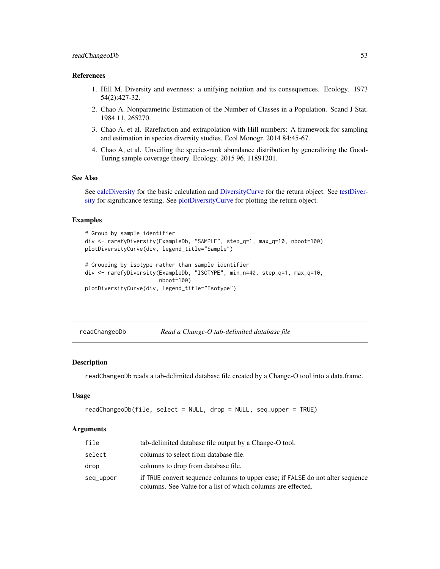#### <span id="page-52-0"></span>References

- 1. Hill M. Diversity and evenness: a unifying notation and its consequences. Ecology. 1973 54(2):427-32.
- 2. Chao A. Nonparametric Estimation of the Number of Classes in a Population. Scand J Stat. 1984 11, 265270.
- 3. Chao A, et al. Rarefaction and extrapolation with Hill numbers: A framework for sampling and estimation in species diversity studies. Ecol Monogr. 2014 84:45-67.
- 4. Chao A, et al. Unveiling the species-rank abundance distribution by generalizing the Good-Turing sample coverage theory. Ecology. 2015 96, 11891201.

#### See Also

See [calcDiversity](#page-12-1) for the basic calculation and [DiversityCurve](#page-21-1) for the return object. See [testDiver](#page-59-1)[sity](#page-59-1) for significance testing. See [plotDiversityCurve](#page-45-1) for plotting the return object.

#### Examples

```
# Group by sample identifier
div <- rarefyDiversity(ExampleDb, "SAMPLE", step_q=1, max_q=10, nboot=100)
plotDiversityCurve(div, legend_title="Sample")
# Grouping by isotype rather than sample identifier
div <- rarefyDiversity(ExampleDb, "ISOTYPE", min_n=40, step_q=1, max_q=10,
                       nboot=100)
plotDiversityCurve(div, legend_title="Isotype")
```
<span id="page-52-1"></span>readChangeoDb *Read a Change-O tab-delimited database file*

# **Description**

readChangeoDb reads a tab-delimited database file created by a Change-O tool into a data.frame.

#### Usage

```
readChangeoDb(file, select = NULL, drop = NULL, seq_upper = TRUE)
```
#### Arguments

| file      | tab-delimited database file output by a Change-O tool.                                                                                         |
|-----------|------------------------------------------------------------------------------------------------------------------------------------------------|
| select    | columns to select from database file.                                                                                                          |
| drop      | columns to drop from database file.                                                                                                            |
| seq_upper | if TRUE convert sequence columns to upper case; if FALSE do not alter sequence<br>columns. See Value for a list of which columns are effected. |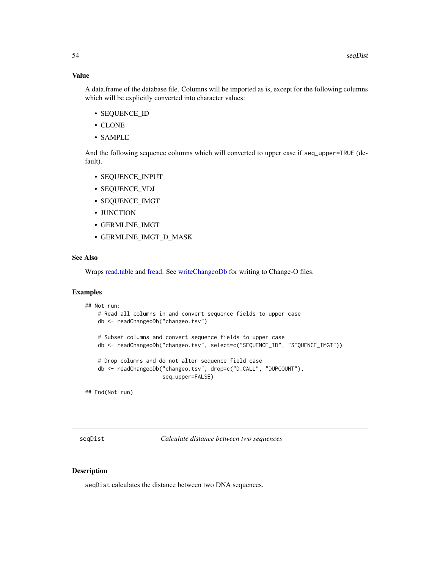# <span id="page-53-0"></span>Value

A data.frame of the database file. Columns will be imported as is, except for the following columns which will be explicitly converted into character values:

- SEQUENCE\_ID
- CLONE
- SAMPLE

And the following sequence columns which will converted to upper case if seq\_upper=TRUE (default).

- SEQUENCE\_INPUT
- SEQUENCE\_VDJ
- SEQUENCE\_IMGT
- JUNCTION
- GERMLINE\_IMGT
- GERMLINE\_IMGT\_D\_MASK

#### See Also

Wraps [read.table](#page-0-0) and [fread.](#page-0-0) See [writeChangeoDb](#page-65-1) for writing to Change-O files.

# Examples

```
## Not run:
   # Read all columns in and convert sequence fields to upper case
   db <- readChangeoDb("changeo.tsv")
   # Subset columns and convert sequence fields to upper case
   db <- readChangeoDb("changeo.tsv", select=c("SEQUENCE_ID", "SEQUENCE_IMGT"))
   # Drop columns and do not alter sequence field case
   db <- readChangeoDb("changeo.tsv", drop=c("D_CALL", "DUPCOUNT"),
                        seq_upper=FALSE)
```
## End(Not run)

<span id="page-53-1"></span>seqDist *Calculate distance between two sequences*

# Description

seqDist calculates the distance between two DNA sequences.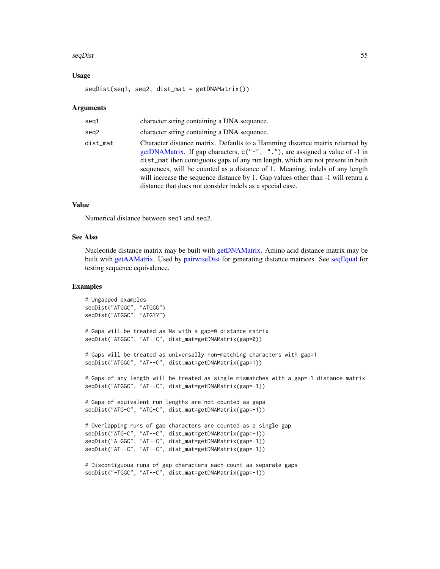#### <span id="page-54-0"></span> $seqDist$  55

#### Usage

seqDist(seq1, seq2, dist\_mat = getDNAMatrix())

#### **Arguments**

| seg1     | character string containing a DNA sequence.                                                                                                                                                                                                                                                                                                                                                                                                                                    |
|----------|--------------------------------------------------------------------------------------------------------------------------------------------------------------------------------------------------------------------------------------------------------------------------------------------------------------------------------------------------------------------------------------------------------------------------------------------------------------------------------|
| seg2     | character string containing a DNA sequence.                                                                                                                                                                                                                                                                                                                                                                                                                                    |
| dist_mat | Character distance matrix. Defaults to a Hamming distance matrix returned by<br>getDNAMatrix. If gap characters, c("-", "."), are assigned a value of -1 in<br>dist_mat then contiguous gaps of any run length, which are not present in both<br>sequences, will be counted as a distance of 1. Meaning, indels of any length<br>will increase the sequence distance by 1. Gap values other than -1 will return a<br>distance that does not consider indels as a special case. |

# Value

Numerical distance between seq1 and seq2.

# See Also

Nucleotide distance matrix may be built with [getDNAMatrix.](#page-28-1) Amino acid distance matrix may be built with [getAAMatrix.](#page-28-2) Used by [pairwiseDist](#page-41-1) for generating distance matrices. See [seqEqual](#page-55-1) for testing sequence equivalence.

```
# Ungapped examples
seqDist("ATGGC", "ATGGG")
seqDist("ATGGC", "ATG??")
# Gaps will be treated as Ns with a gap=0 distance matrix
seqDist("ATGGC", "AT--C", dist_mat=getDNAMatrix(gap=0))
# Gaps will be treated as universally non-matching characters with gap=1
seqDist("ATGGC", "AT--C", dist_mat=getDNAMatrix(gap=1))
# Gaps of any length will be treated as single mismatches with a gap=-1 distance matrix
seqDist("ATGGC", "AT--C", dist_mat=getDNAMatrix(gap=-1))
# Gaps of equivalent run lengths are not counted as gaps
seqDist("ATG-C", "ATG-C", dist_mat=getDNAMatrix(gap=-1))
# Overlapping runs of gap characters are counted as a single gap
seqDist("ATG-C", "AT--C", dist_mat=getDNAMatrix(gap=-1))
seqDist("A-GGC", "AT--C", dist_mat=getDNAMatrix(gap=-1))
seqDist("AT--C", "AT--C", dist_mat=getDNAMatrix(gap=-1))
# Discontiguous runs of gap characters each count as separate gaps
```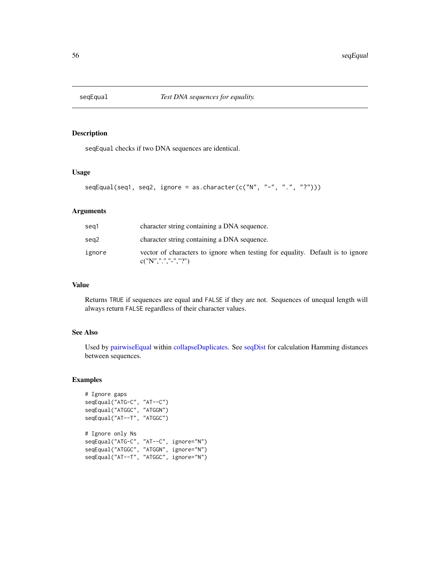<span id="page-55-1"></span><span id="page-55-0"></span>

seqEqual checks if two DNA sequences are identical.

#### Usage

```
seqEqual(seq1, seq2, ignore = as.charAtacter(c("N", "-"", "."", "?"))
```
# Arguments

| seg1   | character string containing a DNA sequence.                                                    |
|--------|------------------------------------------------------------------------------------------------|
| sea2   | character string containing a DNA sequence.                                                    |
| ignore | vector of characters to ignore when testing for equality. Default is to ignore<br>c("N",".".". |

# Value

Returns TRUE if sequences are equal and FALSE if they are not. Sequences of unequal length will always return FALSE regardless of their character values.

# See Also

Used by [pairwiseEqual](#page-42-1) within [collapseDuplicates.](#page-15-1) See [seqDist](#page-53-1) for calculation Hamming distances between sequences.

```
# Ignore gaps
seqEqual("ATG-C", "AT--C")
seqEqual("ATGGC", "ATGGN")
seqEqual("AT--T", "ATGGC")
# Ignore only Ns
seqEqual("ATG-C", "AT--C", ignore="N")
seqEqual("ATGGC", "ATGGN", ignore="N")
seqEqual("AT--T", "ATGGC", ignore="N")
```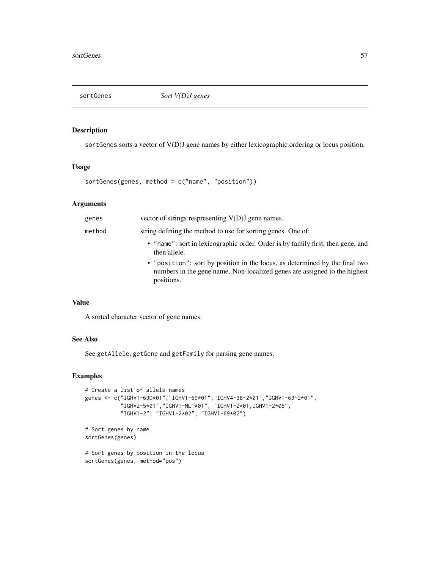<span id="page-56-0"></span>

sortGenes sorts a vector of V(D)J gene names by either lexicographic ordering or locus position.

# Usage

```
sortGenes(genes, method = c("name", "position"))
```
# Arguments

| genes  | vector of strings respresenting $V(D)J$ gene names.                                                                                                                    |
|--------|------------------------------------------------------------------------------------------------------------------------------------------------------------------------|
| method | string defining the method to use for sorting genes. One of:                                                                                                           |
|        | • "name": sort in lexicographic order. Order is by family first, then gene, and<br>then allele.                                                                        |
|        | • "position": sort by position in the locus, as determined by the final two<br>numbers in the gene name. Non-localized genes are assigned to the highest<br>positions. |
|        |                                                                                                                                                                        |

# Value

A sorted character vector of gene names.

# See Also

See getAllele, getGene and getFamily for parsing gene names.

# Examples

```
# Create a list of allele names
genes <- c("IGHV1-69D*01","IGHV1-69*01","IGHV4-38-2*01","IGHV1-69-2*01",
           "IGHV2-5*01","IGHV1-NL1*01", "IGHV1-2*01,IGHV1-2*05",
           "IGHV1-2", "IGHV1-2*02", "IGHV1-69*02")
# Sort genes by name
sortGenes(genes)
```
# Sort genes by position in the locus sortGenes(genes, method="pos")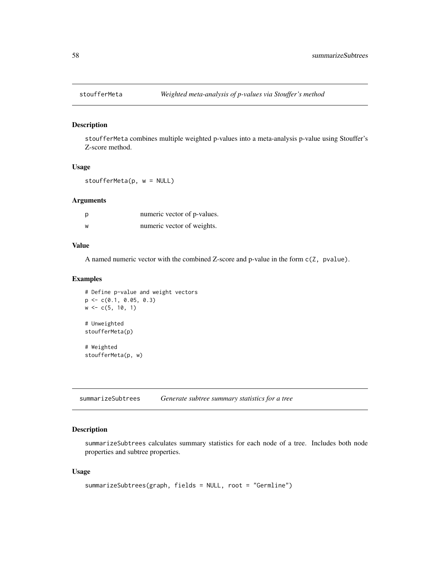<span id="page-57-0"></span>

stoufferMeta combines multiple weighted p-values into a meta-analysis p-value using Stouffer's Z-score method.

#### Usage

stoufferMeta(p, w = NULL)

#### Arguments

| p | numeric vector of p-values. |
|---|-----------------------------|
| W | numeric vector of weights.  |

# Value

A named numeric vector with the combined Z-score and p-value in the form c(Z, pvalue).

#### Examples

```
# Define p-value and weight vectors
p <- c(0.1, 0.05, 0.3)
w \leq c(5, 10, 1)# Unweighted
stoufferMeta(p)
# Weighted
stoufferMeta(p, w)
```
<span id="page-57-1"></span>summarizeSubtrees *Generate subtree summary statistics for a tree*

# Description

summarizeSubtrees calculates summary statistics for each node of a tree. Includes both node properties and subtree properties.

# Usage

```
summarizeSubtrees(graph, fields = NULL, root = "Germline")
```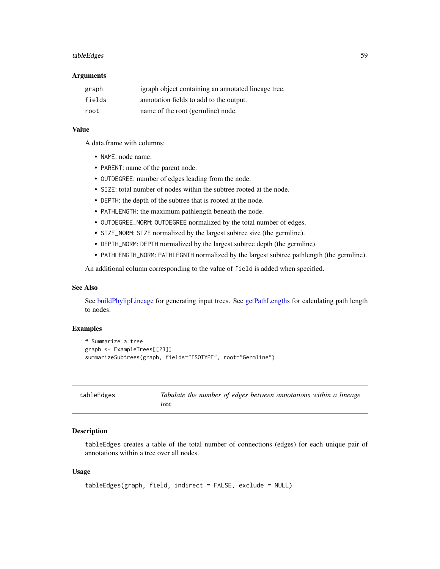#### <span id="page-58-0"></span>tableEdges 59

#### Arguments

| graph  | igraph object containing an annotated lineage tree. |
|--------|-----------------------------------------------------|
| fields | annotation fields to add to the output.             |
| root   | name of the root (germline) node.                   |

# Value

A data.frame with columns:

- NAME: node name.
- PARENT: name of the parent node.
- OUTDEGREE: number of edges leading from the node.
- SIZE: total number of nodes within the subtree rooted at the node.
- DEPTH: the depth of the subtree that is rooted at the node.
- PATHLENGTH: the maximum pathlength beneath the node.
- OUTDEGREE\_NORM: OUTDEGREE normalized by the total number of edges.
- SIZE\_NORM: SIZE normalized by the largest subtree size (the germline).
- DEPTH\_NORM: DEPTH normalized by the largest subtree depth (the germline).
- PATHLENGTH\_NORM: PATHLEGNTH normalized by the largest subtree pathlength (the germline).

An additional column corresponding to the value of field is added when specified.

#### See Also

See [buildPhylipLineage](#page-8-1) for generating input trees. See [getPathLengths](#page-30-1) for calculating path length to nodes.

# Examples

```
# Summarize a tree
graph <- ExampleTrees[[23]]
summarizeSubtrees(graph, fields="ISOTYPE", root="Germline")
```
<span id="page-58-1"></span>

| tableEdges | Tabulate the number of edges between annotations within a lineage |  |
|------------|-------------------------------------------------------------------|--|
|            | tree                                                              |  |

# Description

tableEdges creates a table of the total number of connections (edges) for each unique pair of annotations within a tree over all nodes.

#### Usage

```
tableEdges(graph, field, indirect = FALSE, exclude = NULL)
```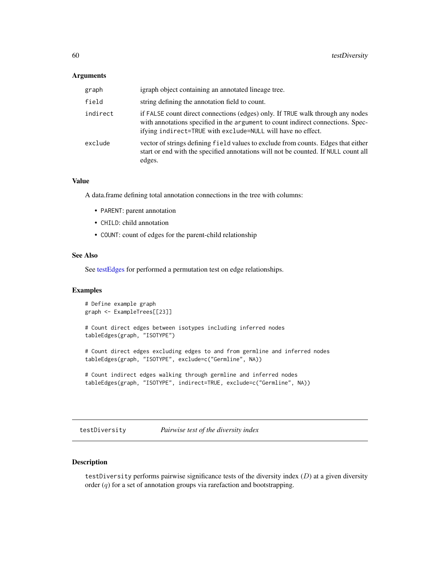#### <span id="page-59-0"></span>**Arguments**

| graph    | igraph object containing an annotated lineage tree.                                                                                                                                                                              |
|----------|----------------------------------------------------------------------------------------------------------------------------------------------------------------------------------------------------------------------------------|
| field    | string defining the annotation field to count.                                                                                                                                                                                   |
| indirect | if FALSE count direct connections (edges) only. If TRUE walk through any nodes<br>with annotations specified in the argument to count indirect connections. Spec-<br>ifying indirect=TRUE with exclude=NULL will have no effect. |
| exclude  | vector of strings defining field values to exclude from counts. Edges that either<br>start or end with the specified annotations will not be counted. If NULL count all<br>edges.                                                |

# Value

A data.frame defining total annotation connections in the tree with columns:

- PARENT: parent annotation
- CHILD: child annotation
- COUNT: count of edges for the parent-child relationship

#### See Also

See [testEdges](#page-61-1) for performed a permutation test on edge relationships.

#### Examples

```
# Define example graph
graph <- ExampleTrees[[23]]
# Count direct edges between isotypes including inferred nodes
tableEdges(graph, "ISOTYPE")
```
# Count direct edges excluding edges to and from germline and inferred nodes tableEdges(graph, "ISOTYPE", exclude=c("Germline", NA))

```
# Count indirect edges walking through germline and inferred nodes
tableEdges(graph, "ISOTYPE", indirect=TRUE, exclude=c("Germline", NA))
```
<span id="page-59-1"></span>testDiversity *Pairwise test of the diversity index*

# Description

testDiversity performs pairwise significance tests of the diversity index  $(D)$  at a given diversity order  $(q)$  for a set of annotation groups via rarefaction and bootstrapping.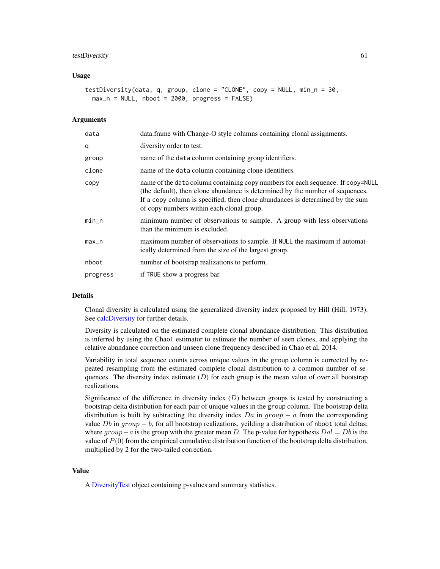#### <span id="page-60-0"></span>testDiversity 61

#### Usage

```
testDiversity(data, q, group, clone = "CLONE", copy = NULL, min_n = 30,
 max_n = NULL, nboot = 2000, progress = FALSE)
```
#### Arguments

| data     | data.frame with Change-O style columns containing clonal assignments.                                                                                                                                                                                                                          |
|----------|------------------------------------------------------------------------------------------------------------------------------------------------------------------------------------------------------------------------------------------------------------------------------------------------|
| q        | diversity order to test.                                                                                                                                                                                                                                                                       |
| group    | name of the data column containing group identifiers.                                                                                                                                                                                                                                          |
| clone    | name of the data column containing clone identifiers.                                                                                                                                                                                                                                          |
| copy     | name of the data column containing copy numbers for each sequence. If copy=NULL<br>(the default), then clone abundance is determined by the number of sequences.<br>If a copy column is specified, then clone abundances is determined by the sum<br>of copy numbers within each clonal group. |
| $min\_n$ | minimum number of observations to sample. A group with less observations<br>than the minimum is excluded.                                                                                                                                                                                      |
| $max_n$  | maximum number of observations to sample. If NULL the maximum if automat-<br>ically determined from the size of the largest group.                                                                                                                                                             |
| nboot    | number of bootstrap realizations to perform.                                                                                                                                                                                                                                                   |
| progress | if TRUE show a progress bar.                                                                                                                                                                                                                                                                   |
|          |                                                                                                                                                                                                                                                                                                |

# Details

Clonal diversity is calculated using the generalized diversity index proposed by Hill (Hill, 1973). See [calcDiversity](#page-12-1) for further details.

Diversity is calculated on the estimated complete clonal abundance distribution. This distribution is inferred by using the Chao1 estimator to estimate the number of seen clones, and applying the relative abundance correction and unseen clone frequency described in Chao et al, 2014.

Variability in total sequence counts across unique values in the group column is corrected by repeated resampling from the estimated complete clonal distribution to a common number of sequences. The diversity index estimate  $(D)$  for each group is the mean value of over all bootstrap realizations.

Significance of the difference in diversity index  $(D)$  between groups is tested by constructing a bootstrap delta distribution for each pair of unique values in the group column. The bootstrap delta distribution is built by subtracting the diversity index  $Da$  in  $group - a$  from the corresponding value Db in  $group - b$ , for all bootstrap realizations, yeilding a distribution of nboot total deltas; where  $group-a$  is the group with the greater mean D. The p-value for hypothesis  $Da! = Db$  is the value of  $P(0)$  from the empirical cumulative distribution function of the bootstrap delta distribution, multiplied by 2 for the two-tailed correction.

# Value

A [DiversityTest](#page-22-1) object containing p-values and summary statistics.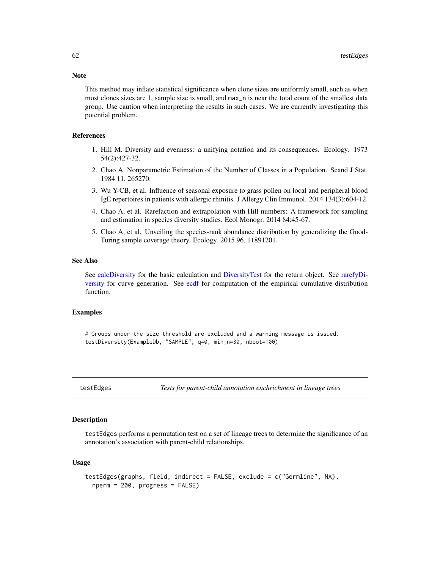This method may inflate statistical significance when clone sizes are uniformly small, such as when most clones sizes are 1, sample size is small, and max\_n is near the total count of the smallest data group. Use caution when interpreting the results in such cases. We are currently investigating this potential problem.

#### References

- 1. Hill M. Diversity and evenness: a unifying notation and its consequences. Ecology. 1973 54(2):427-32.
- 2. Chao A. Nonparametric Estimation of the Number of Classes in a Population. Scand J Stat. 1984 11, 265270.
- 3. Wu Y-CB, et al. Influence of seasonal exposure to grass pollen on local and peripheral blood IgE repertoires in patients with allergic rhinitis. J Allergy Clin Immunol. 2014 134(3):604-12.
- 4. Chao A, et al. Rarefaction and extrapolation with Hill numbers: A framework for sampling and estimation in species diversity studies. Ecol Monogr. 2014 84:45-67.
- 5. Chao A, et al. Unveiling the species-rank abundance distribution by generalizing the Good-Turing sample coverage theory. Ecology. 2015 96, 11891201.

#### See Also

See [calcDiversity](#page-12-1) for the basic calculation and [DiversityTest](#page-22-1) for the return object. See [rarefyDi](#page-50-1)[versity](#page-50-1) for curve generation. See [ecdf](#page-0-0) for computation of the empirical cumulative distribution function.

# Examples

# Groups under the size threshold are excluded and a warning message is issued. testDiversity(ExampleDb, "SAMPLE", q=0, min\_n=30, nboot=100)

<span id="page-61-1"></span>testEdges *Tests for parent-child annotation enchrichment in lineage trees*

#### **Description**

testEdges performs a permutation test on a set of lineage trees to determine the significance of an annotation's association with parent-child relationships.

#### Usage

```
testEdges(graphs, field, indirect = FALSE, exclude = c("Germline", NA),
  nperm = 200, progress = FALSE)
```
<span id="page-61-0"></span>

# Note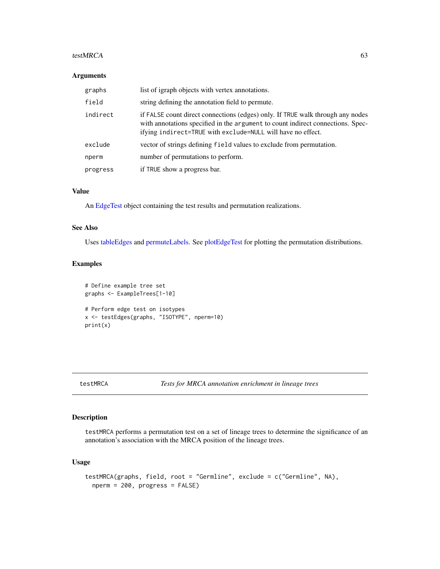#### <span id="page-62-0"></span>testMRCA 63

#### Arguments

| graphs   | list of igraph objects with vertex annotations.                                                                                                                                                                                  |
|----------|----------------------------------------------------------------------------------------------------------------------------------------------------------------------------------------------------------------------------------|
| field    | string defining the annotation field to permute.                                                                                                                                                                                 |
| indirect | if FALSE count direct connections (edges) only. If TRUE walk through any nodes<br>with annotations specified in the argument to count indirect connections. Spec-<br>ifying indirect=TRUE with exclude=NULL will have no effect. |
| exclude  | vector of strings defining field values to exclude from permutation.                                                                                                                                                             |
| nperm    | number of permutations to perform.                                                                                                                                                                                               |
| progress | if TRUE show a progress bar.                                                                                                                                                                                                     |

#### Value

An [EdgeTest](#page-23-1) object containing the test results and permutation realizations.

#### See Also

Uses [tableEdges](#page-58-1) and [permuteLabels.](#page-43-1) See [plotEdgeTest](#page-46-1) for plotting the permutation distributions.

#### Examples

```
# Define example tree set
graphs <- ExampleTrees[1-10]
# Perform edge test on isotypes
x <- testEdges(graphs, "ISOTYPE", nperm=10)
print(x)
```
<span id="page-62-1"></span>

# Description

testMRCA performs a permutation test on a set of lineage trees to determine the significance of an annotation's association with the MRCA position of the lineage trees.

# Usage

```
testMRCA(graphs, field, root = "Germline", exclude = c("Germline", NA),
  nperm = 200, progress = FALSE)
```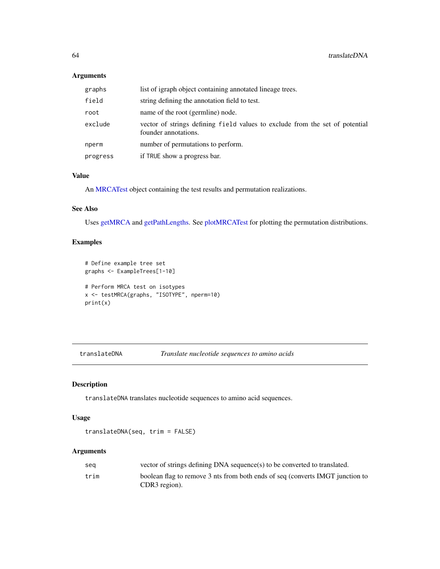# Arguments

| graphs   | list of igraph object containing annotated lineage trees.                                            |
|----------|------------------------------------------------------------------------------------------------------|
| field    | string defining the annotation field to test.                                                        |
| root     | name of the root (germline) node.                                                                    |
| exclude  | vector of strings defining field values to exclude from the set of potential<br>founder annotations. |
| nperm    | number of permutations to perform.                                                                   |
| progress | if TRUE show a progress bar.                                                                         |

# Value

An [MRCATest](#page-40-2) object containing the test results and permutation realizations.

# See Also

Uses [getMRCA](#page-29-1) and [getPathLengths.](#page-30-1) See [plotMRCATest](#page-47-1) for plotting the permutation distributions.

# Examples

```
# Define example tree set
graphs <- ExampleTrees[1-10]
# Perform MRCA test on isotypes
x <- testMRCA(graphs, "ISOTYPE", nperm=10)
print(x)
```
<span id="page-63-1"></span>translateDNA *Translate nucleotide sequences to amino acids*

# Description

translateDNA translates nucleotide sequences to amino acid sequences.

# Usage

```
translateDNA(seq, trim = FALSE)
```
#### Arguments

| sea  | vector of strings defining DNA sequence(s) to be converted to translated.                      |
|------|------------------------------------------------------------------------------------------------|
| trim | boolean flag to remove 3 nts from both ends of seq (converts IMGT junction to<br>CDR3 region). |

<span id="page-63-0"></span>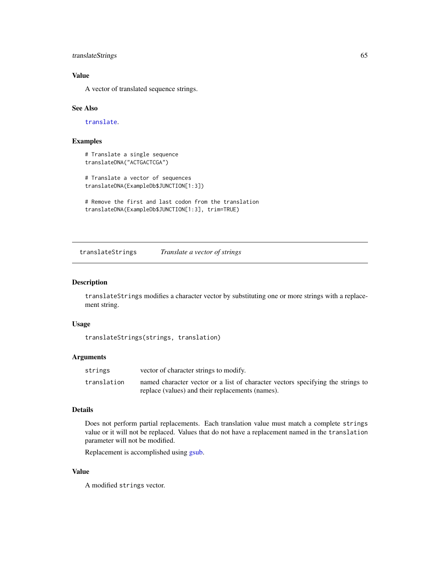# <span id="page-64-0"></span>translateStrings 65

# Value

A vector of translated sequence strings.

# See Also

[translate](#page-0-0).

# Examples

```
# Translate a single sequence
translateDNA("ACTGACTCGA")
```
# Translate a vector of sequences translateDNA(ExampleDb\$JUNCTION[1:3])

```
# Remove the first and last codon from the translation
translateDNA(ExampleDb$JUNCTION[1:3], trim=TRUE)
```
<span id="page-64-1"></span>translateStrings *Translate a vector of strings*

#### Description

translateStrings modifies a character vector by substituting one or more strings with a replacement string.

# Usage

translateStrings(strings, translation)

# Arguments

| strings     | vector of character strings to modify.                                          |
|-------------|---------------------------------------------------------------------------------|
| translation | named character vector or a list of character vectors specifying the strings to |
|             | replace (values) and their replacements (names).                                |

#### Details

Does not perform partial replacements. Each translation value must match a complete strings value or it will not be replaced. Values that do not have a replacement named in the translation parameter will not be modified.

Replacement is accomplished using [gsub.](#page-0-0)

#### Value

A modified strings vector.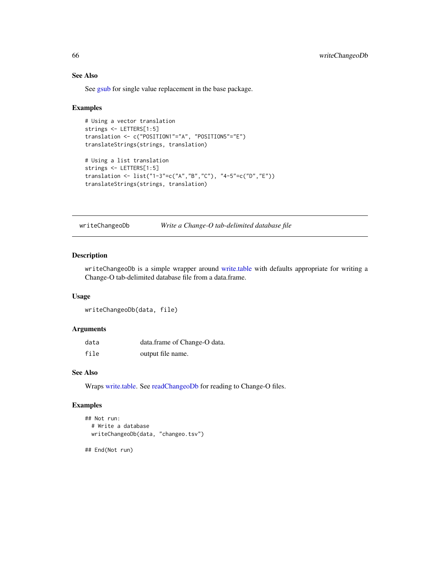# See Also

See [gsub](#page-0-0) for single value replacement in the base package.

#### Examples

```
# Using a vector translation
strings <- LETTERS[1:5]
translation <- c("POSITION1"="A", "POSITION5"="E")
translateStrings(strings, translation)
# Using a list translation
strings <- LETTERS[1:5]
translation <- list("1-3"=c("A","B","C"), "4-5"=c("D","E"))
translateStrings(strings, translation)
```
<span id="page-65-1"></span>writeChangeoDb *Write a Change-O tab-delimited database file*

# Description

writeChangeoDb is a simple wrapper around [write.table](#page-0-0) with defaults appropriate for writing a Change-O tab-delimited database file from a data.frame.

# Usage

writeChangeoDb(data, file)

# Arguments

| data | data.frame of Change-O data. |
|------|------------------------------|
| file | output file name.            |

# See Also

Wraps [write.table.](#page-0-0) See [readChangeoDb](#page-52-1) for reading to Change-O files.

#### Examples

```
## Not run:
  # Write a database
  writeChangeoDb(data, "changeo.tsv")
```
## End(Not run)

<span id="page-65-0"></span>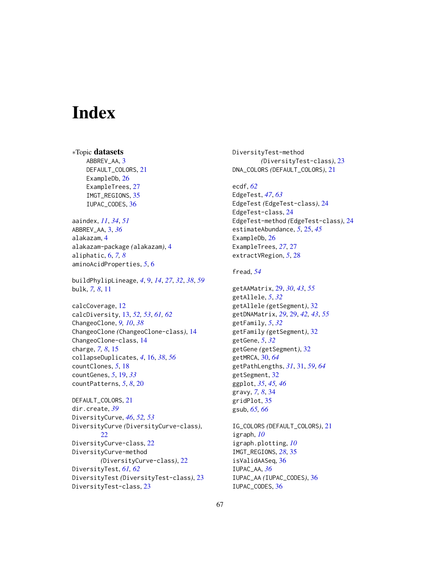# <span id="page-66-0"></span>**Index**

∗Topic datasets ABBREV\_AA, [3](#page-2-0) DEFAULT\_COLORS, [21](#page-20-0) ExampleDb, [26](#page-25-0) ExampleTrees, [27](#page-26-0) IMGT\_REGIONS, [35](#page-34-0) IUPAC\_CODES, [36](#page-35-0)

aaindex, *[11](#page-10-0)*, *[34](#page-33-0)*, *[51](#page-50-0)* ABBREV\_AA, [3,](#page-2-0) *[36](#page-35-0)* alakazam, [4](#page-3-0) alakazam-package *(*alakazam*)*, [4](#page-3-0) aliphatic, [6,](#page-5-0) *[7,](#page-6-0) [8](#page-7-0)* aminoAcidProperties, *[5](#page-4-0)*, [6](#page-5-0)

buildPhylipLineage, *[4](#page-3-0)*, [9,](#page-8-0) *[14](#page-13-0)*, *[27](#page-26-0)*, *[32](#page-31-0)*, *[38](#page-37-0)*, *[59](#page-58-0)* bulk, *[7,](#page-6-0) [8](#page-7-0)*, [11](#page-10-0)

calcCoverage, [12](#page-11-0) calcDiversity, [13,](#page-12-0) *[52,](#page-51-0) [53](#page-52-0)*, *[61,](#page-60-0) [62](#page-61-0)* ChangeoClone, *[9,](#page-8-0) [10](#page-9-0)*, *[38](#page-37-0)* ChangeoClone *(*ChangeoClone-class*)*, [14](#page-13-0) ChangeoClone-class, [14](#page-13-0) charge, *[7,](#page-6-0) [8](#page-7-0)*, [15](#page-14-0) collapseDuplicates, *[4](#page-3-0)*, [16,](#page-15-0) *[38](#page-37-0)*, *[56](#page-55-0)* countClones, *[5](#page-4-0)*, [18](#page-17-0) countGenes, *[5](#page-4-0)*, [19,](#page-18-0) *[33](#page-32-0)* countPatterns, *[5](#page-4-0)*, *[8](#page-7-0)*, [20](#page-19-0)

DEFAULT\_COLORS, [21](#page-20-0) dir.create, *[39](#page-38-0)* DiversityCurve, *[46](#page-45-0)*, *[52,](#page-51-0) [53](#page-52-0)* DiversityCurve *(*DiversityCurve-class*)*, [22](#page-21-0) DiversityCurve-class, [22](#page-21-0) DiversityCurve-method *(*DiversityCurve-class*)*, [22](#page-21-0) DiversityTest, *[61,](#page-60-0) [62](#page-61-0)* DiversityTest *(*DiversityTest-class*)*, [23](#page-22-0) DiversityTest-class, [23](#page-22-0)

DiversityTest-method *(*DiversityTest-class*)*, [23](#page-22-0) DNA\_COLORS *(*DEFAULT\_COLORS*)*, [21](#page-20-0)

ecdf, *[62](#page-61-0)* EdgeTest, *[47](#page-46-0)*, *[63](#page-62-0)* EdgeTest *(*EdgeTest-class*)*, [24](#page-23-0) EdgeTest-class, [24](#page-23-0) EdgeTest-method *(*EdgeTest-class*)*, [24](#page-23-0) estimateAbundance, *[5](#page-4-0)*, [25,](#page-24-0) *[45](#page-44-0)* ExampleDb, [26](#page-25-0) ExampleTrees, *[27](#page-26-0)*, [27](#page-26-0) extractVRegion, *[5](#page-4-0)*, [28](#page-27-0)

# fread, *[54](#page-53-0)*

getAAMatrix, [29,](#page-28-0) *[30](#page-29-0)*, *[43](#page-42-0)*, *[55](#page-54-0)* getAllele, *[5](#page-4-0)*, *[32](#page-31-0)* getAllele *(*getSegment*)*, [32](#page-31-0) getDNAMatrix, *[29](#page-28-0)*, [29,](#page-28-0) *[42,](#page-41-0) [43](#page-42-0)*, *[55](#page-54-0)* getFamily, *[5](#page-4-0)*, *[32](#page-31-0)* getFamily *(*getSegment*)*, [32](#page-31-0) getGene, *[5](#page-4-0)*, *[32](#page-31-0)* getGene *(*getSegment*)*, [32](#page-31-0) getMRCA, [30,](#page-29-0) *[64](#page-63-0)* getPathLengths, *[31](#page-30-0)*, [31,](#page-30-0) *[59](#page-58-0)*, *[64](#page-63-0)* getSegment, [32](#page-31-0) ggplot, *[35](#page-34-0)*, *[45,](#page-44-0) [46](#page-45-0)* gravy, *[7,](#page-6-0) [8](#page-7-0)*, [34](#page-33-0) gridPlot, [35](#page-34-0) gsub, *[65,](#page-64-0) [66](#page-65-0)*

IG\_COLORS *(*DEFAULT\_COLORS*)*, [21](#page-20-0) igraph, *[10](#page-9-0)* igraph.plotting, *[10](#page-9-0)* IMGT\_REGIONS, *[28](#page-27-0)*, [35](#page-34-0) isValidAASeq, [36](#page-35-0) IUPAC\_AA, *[36](#page-35-0)* IUPAC\_AA *(*IUPAC\_CODES*)*, [36](#page-35-0) IUPAC\_CODES, [36](#page-35-0)